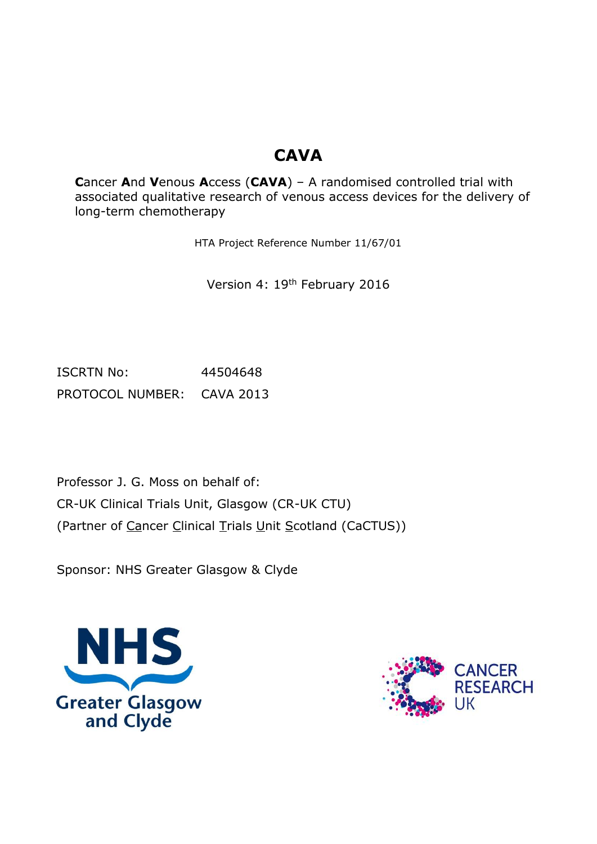# **CAVA**

**C**ancer **A**nd **V**enous **A**ccess (**CAVA**) – A randomised controlled trial with associated qualitative research of venous access devices for the delivery of long-term chemotherapy

HTA Project Reference Number 11/67/01

Version 4: 19th February 2016

ISCRTN No: 44504648 PROTOCOL NUMBER: CAVA 2013

Professor J. G. Moss on behalf of: CR-UK Clinical Trials Unit, Glasgow (CR-UK CTU) (Partner of Cancer Clinical Trials Unit Scotland (CaCTUS))

Sponsor: NHS Greater Glasgow & Clyde



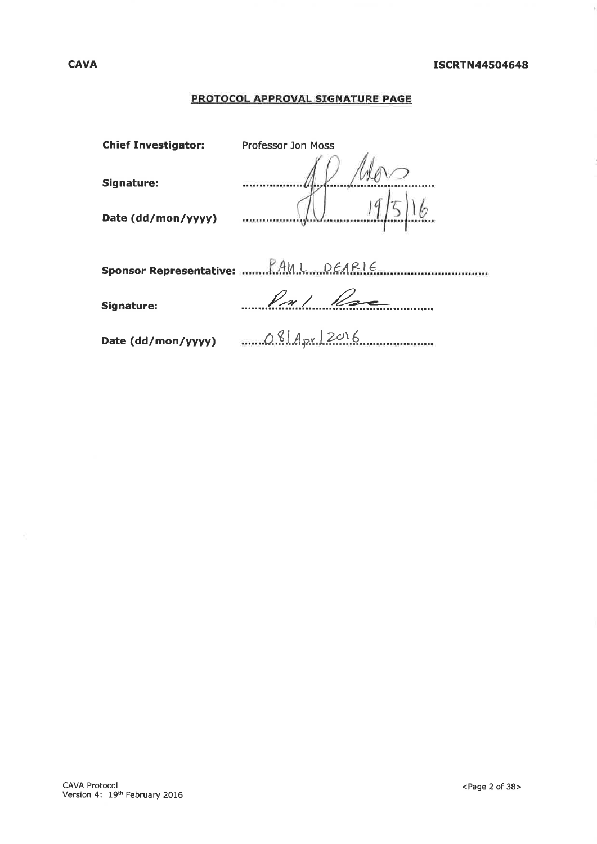# **PROTOCOL APPROVAL SIGNATURE PAGE**

| <b>Chief Investigator:</b> | <b>Professor Jon Moss</b> |
|----------------------------|---------------------------|
| Signature:                 |                           |
|                            |                           |
| Date (dd/mon/yyyy)         |                           |
|                            |                           |
|                            |                           |
| <b>Signature:</b>          | Pul Rese                  |
| Date (dd/mon/yyyy)         | $081A_{pr}$ 2016          |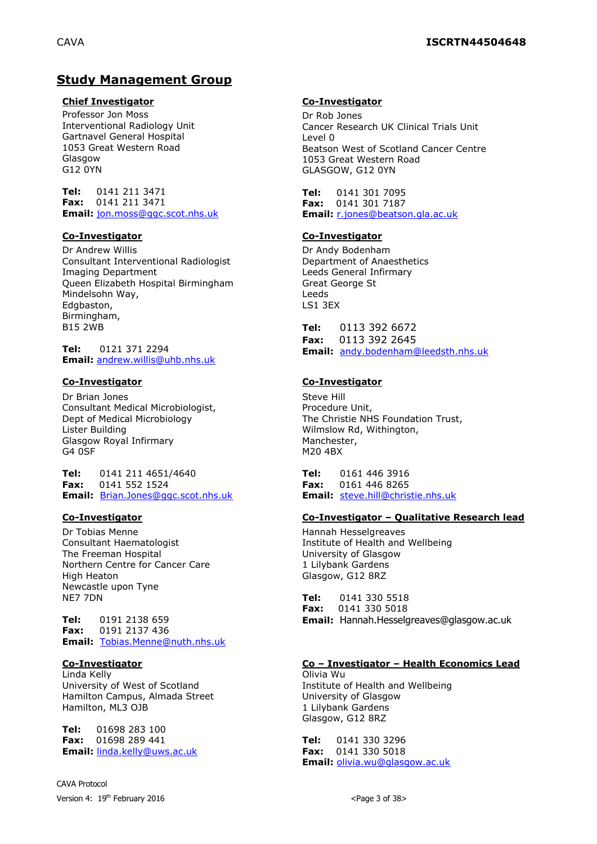# **Study Management Group**

#### **Chief Investigator Co-Investigator**

Professor Jon Moss Interventional Radiology Unit Gartnavel General Hospital 1053 Great Western Road Glasgow G12 0YN

**Tel:** 0141 211 3471 **Fax:** 0141 211 3471 **Email:** [jon.moss@ggc.scot.nhs.uk](mailto:jon.moss@ggc.scot.nhs.uk)

#### **Co-Investigator Co-Investigator**

Dr Andrew Willis Consultant Interventional Radiologist Imaging Department Queen Elizabeth Hospital Birmingham Mindelsohn Way, Edgbaston, Birmingham, B15 2WB

**Tel:** 0121 371 2294 **Email:** [andrew.willis@uhb.nhs.uk](mailto:andrew.willis@uhb.nhs.uk)

Dr Brian Jones Consultant Medical Microbiologist, Dept of Medical Microbiology Lister Building Glasgow Royal Infirmary G4 0SF

**Tel:** 0141 211 4651/4640 **Fax:** 0141 552 1524 **Email:** [Brian.Jones@ggc.scot.nhs.uk](mailto:Brian.Jones@ggc.scot.nhs.uk)

Dr Tobias Menne Consultant Haematologist The Freeman Hospital Northern Centre for Cancer Care High Heaton Newcastle upon Tyne NE7 7DN

**Tel:** 0191 2138 659 **Fax:** 0191 2137 436 **Email:** [Tobias.Menne@nuth.nhs.uk](mailto:Tobias.Menne@nuth.nhs.uk)

Linda Kelly University of West of Scotland Hamilton Campus, Almada Street Hamilton, ML3 OJB

**Tel:** 01698 283 100 **Fax:** 01698 289 441 **Email:** [linda.kelly@uws.ac.uk](mailto:linda.kelly@uws.ac.uk)

CAVA Protocol Version 4:  $19^{th}$  February 2016  $\leq$  Page 3 of 38>

Dr Rob Jones Cancer Research UK Clinical Trials Unit Level 0 Beatson West of Scotland Cancer Centre 1053 Great Western Road GLASGOW, G12 0YN

**Tel:** 0141 301 7095 **Fax:** 0141 301 7187 **Email:** [r.jones@beatson.gla.ac.uk](mailto:r.jones@beatson.gla.ac.uk)

Dr Andy Bodenham Department of Anaesthetics Leeds General Infirmary Great George St Leeds LS1 3EX

**Tel:** 0113 392 6672 **Fax:** 0113 392 2645 **Email:** [andy.bodenham@leedsth.nhs.uk](mailto:andy.bodenham@leedsth.nhs.uk)

#### **Co-Investigator Co-Investigator**

Steve Hill Procedure Unit, The Christie NHS Foundation Trust, Wilmslow Rd, Withington, Manchester, M20 4BX

**Tel:** 0161 446 3916 **Fax:** 0161 446 8265 **Email:** [steve.hill@christie.nhs.uk](mailto:steve.hill@christie.nhs.uk)

#### **Co-Investigator Co-Investigator – Qualitative Research lead**

Hannah Hesselgreaves Institute of Health and Wellbeing University of Glasgow 1 Lilybank Gardens Glasgow, G12 8RZ

**Tel:** 0141 330 5518<br>**Fax:** 0141 330 5018 **Fax:** 0141 330 5018 **Email:** Hannah.Hesselgreaves@glasgow.ac.uk

#### **Co-Investigator Co – Investigator – Health Economics Lead**

Olivia Wu Institute of Health and Wellbeing University of Glasgow 1 Lilybank Gardens Glasgow, G12 8RZ

**Tel:** 0141 330 3296 **Fax:** 0141 330 5018 **Email:** [olivia.wu@glasgow.ac.uk](mailto:olivia.wu@glasgow.ac.uk)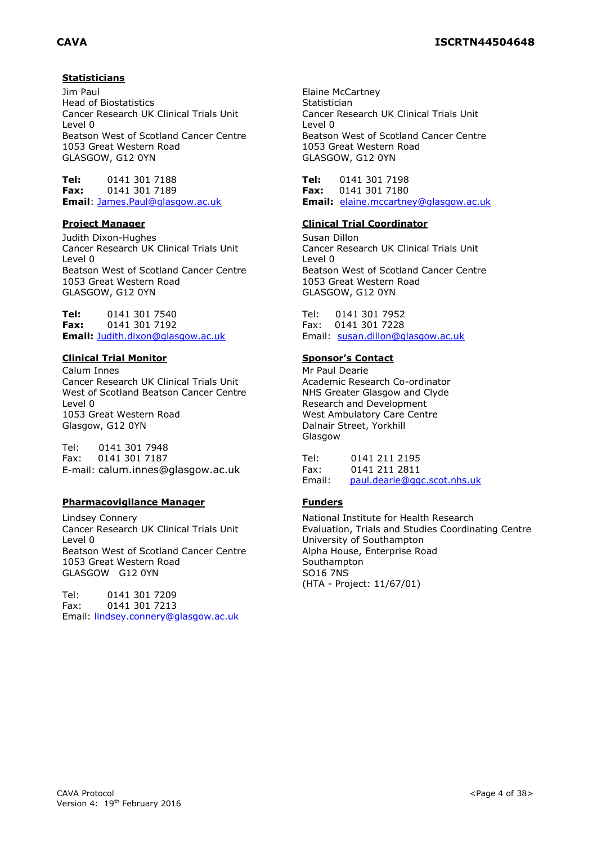### **Statisticians**

Jim Paul Head of Biostatistics Cancer Research UK Clinical Trials Unit Level 0 Beatson West of Scotland Cancer Centre 1053 Great Western Road GLASGOW, G12 0YN

**Tel:** 0141 301 7188 **Fax:** 0141 301 7189 **Email**: [James.Paul@glasgow.ac.uk](mailto:James.Paul@glasgow.ac.uk)

Judith Dixon-Hughes Cancer Research UK Clinical Trials Unit Level 0 Beatson West of Scotland Cancer Centre 1053 Great Western Road GLASGOW, G12 0YN

**Tel:** 0141 301 7540 **Fax:** 0141 301 7192 **Email:** [Judith.dixon@glasgow.ac.uk](mailto:Judith.dixon@glasgow.ac.uk)

#### **Clinical Trial Monitor Sponsor's Contact**

Calum Innes Cancer Research UK Clinical Trials Unit West of Scotland Beatson Cancer Centre Level 0 1053 Great Western Road Glasgow, G12 0YN

Tel: 0141 301 7948 Fax: 0141 301 7187 E-mail: calum.innes@glasgow.ac.uk

#### **Pharmacovigilance Manager Funders**

Lindsey Connery Cancer Research UK Clinical Trials Unit Level 0 Beatson West of Scotland Cancer Centre 1053 Great Western Road GLASGOW G12 0YN

Tel: 0141 301 7209 Fax: 0141 301 7213 Email: [lindsey.connery@glasgow.ac.uk](mailto:lindsey.connery@glasgow.ac.uk)

Elaine McCartney Statistician Cancer Research UK Clinical Trials Unit Level 0 Beatson West of Scotland Cancer Centre 1053 Great Western Road GLASGOW, G12 0YN

**Tel:** 0141 301 7198 **Fax:** 0141 301 7180 **Email:** [elaine.mccartney@glasgow.ac.uk](mailto:elaine.mccartney@glasgow.ac.uk)

#### **Project Manager Clinical Trial Coordinator**

Susan Dillon Cancer Research UK Clinical Trials Unit Level 0 Beatson West of Scotland Cancer Centre 1053 Great Western Road GLASGOW, G12 0YN

Tel: 0141 301 7952 Fax: 0141 301 7228 Email: [susan.dillon@glasgow.ac.uk](mailto:susan.dillon@glasgow.ac.uk)

Mr Paul Dearie Academic Research Co-ordinator NHS Greater Glasgow and Clyde Research and Development West Ambulatory Care Centre Dalnair Street, Yorkhill Glasgow

Tel: 0141 211 2195 Fax: 0141 211 2811 Email: [paul.dearie@ggc.scot.nhs.uk](mailto:Nathaniel.Brittain@ggc.scot.nhs.uk)

National Institute for Health Research Evaluation, Trials and Studies Coordinating Centre University of Southampton Alpha House, Enterprise Road Southampton SO16 7NS (HTA - Project: 11/67/01)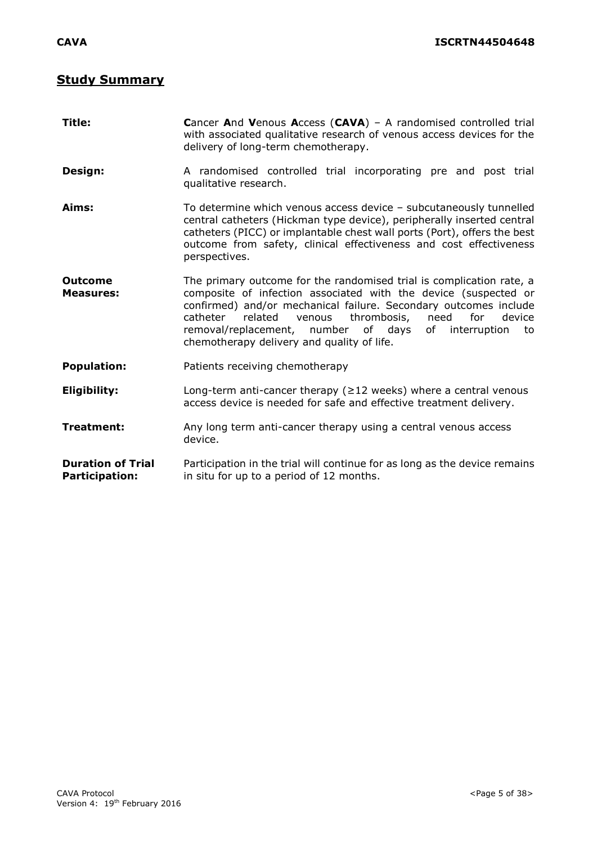# **Study Summary**

| Title:                                            | Cancer And Venous Access (CAVA) - A randomised controlled trial<br>with associated qualitative research of venous access devices for the<br>delivery of long-term chemotherapy.                                                                                                                                                                                                                 |  |  |  |  |  |  |  |  |  |  |
|---------------------------------------------------|-------------------------------------------------------------------------------------------------------------------------------------------------------------------------------------------------------------------------------------------------------------------------------------------------------------------------------------------------------------------------------------------------|--|--|--|--|--|--|--|--|--|--|
| Design:                                           | A randomised controlled trial incorporating pre and post trial<br>qualitative research.                                                                                                                                                                                                                                                                                                         |  |  |  |  |  |  |  |  |  |  |
| Aims:                                             | To determine which venous access device - subcutaneously tunnelled<br>central catheters (Hickman type device), peripherally inserted central<br>catheters (PICC) or implantable chest wall ports (Port), offers the best<br>outcome from safety, clinical effectiveness and cost effectiveness<br>perspectives.                                                                                 |  |  |  |  |  |  |  |  |  |  |
| <b>Outcome</b><br><b>Measures:</b>                | The primary outcome for the randomised trial is complication rate, a<br>composite of infection associated with the device (suspected or<br>confirmed) and/or mechanical failure. Secondary outcomes include<br>related<br>thrombosis,<br>need<br>for<br>catheter<br>venous<br>device<br>removal/replacement, number of days of interruption<br>to<br>chemotherapy delivery and quality of life. |  |  |  |  |  |  |  |  |  |  |
| <b>Population:</b>                                | Patients receiving chemotherapy                                                                                                                                                                                                                                                                                                                                                                 |  |  |  |  |  |  |  |  |  |  |
| <b>Eligibility:</b>                               | Long-term anti-cancer therapy ( $\geq$ 12 weeks) where a central venous<br>access device is needed for safe and effective treatment delivery.                                                                                                                                                                                                                                                   |  |  |  |  |  |  |  |  |  |  |
| <b>Treatment:</b>                                 | Any long term anti-cancer therapy using a central venous access<br>device.                                                                                                                                                                                                                                                                                                                      |  |  |  |  |  |  |  |  |  |  |
| <b>Duration of Trial</b><br><b>Participation:</b> | Participation in the trial will continue for as long as the device remains<br>in situ for up to a period of 12 months.                                                                                                                                                                                                                                                                          |  |  |  |  |  |  |  |  |  |  |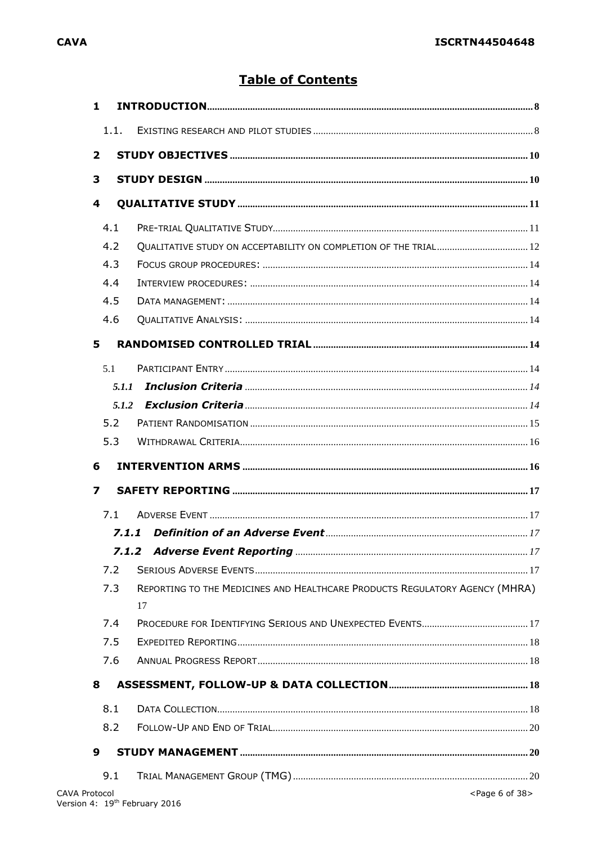# **Table of Contents**

| $\mathbf{1}$<br>1.1.    |                                                                                   |                                |
|-------------------------|-----------------------------------------------------------------------------------|--------------------------------|
|                         |                                                                                   |                                |
| $\mathbf{2}$            |                                                                                   |                                |
| 3                       |                                                                                   |                                |
| $\overline{\mathbf{4}}$ |                                                                                   |                                |
| 4.1                     |                                                                                   |                                |
| 4.2                     | QUALITATIVE STUDY ON ACCEPTABILITY ON COMPLETION OF THE TRIAL 12                  |                                |
| 4.3                     |                                                                                   |                                |
| 4.4                     |                                                                                   |                                |
| 4.5                     |                                                                                   |                                |
| 4.6                     |                                                                                   |                                |
| 5                       |                                                                                   |                                |
| 5.1                     |                                                                                   |                                |
| 5.1.1                   |                                                                                   |                                |
| 5.1.2                   |                                                                                   |                                |
| 5.2                     |                                                                                   |                                |
| 5.3                     |                                                                                   |                                |
| 6<br>7                  |                                                                                   |                                |
| 7.1                     |                                                                                   |                                |
|                         |                                                                                   |                                |
|                         |                                                                                   |                                |
| 7.2                     |                                                                                   |                                |
| 7.3                     | REPORTING TO THE MEDICINES AND HEALTHCARE PRODUCTS REGULATORY AGENCY (MHRA)<br>17 |                                |
| 7.4                     |                                                                                   |                                |
| 7.5                     |                                                                                   |                                |
| 7.6                     |                                                                                   |                                |
| 8                       |                                                                                   |                                |
| 8.1                     |                                                                                   |                                |
| 8.2                     |                                                                                   |                                |
| 9                       |                                                                                   |                                |
| 9.1                     |                                                                                   |                                |
| <b>CAVA Protocol</b>    |                                                                                   | <page 38="" 6="" of=""></page> |
|                         | Version 4: 19 <sup>th</sup> February 2016                                         |                                |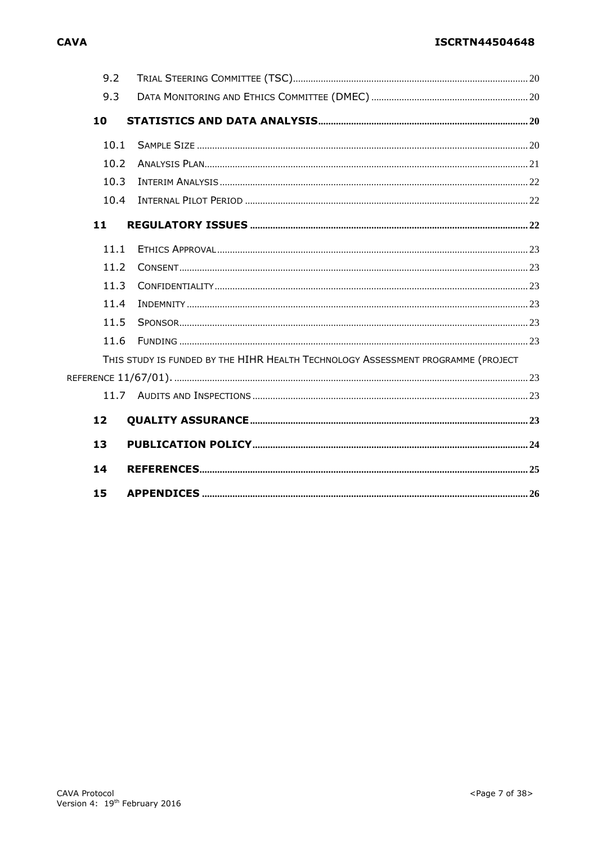# **ISCRTN44504648**

| 9.2  |                                                                                  |  |
|------|----------------------------------------------------------------------------------|--|
| 9.3  |                                                                                  |  |
| 10   |                                                                                  |  |
| 10.1 |                                                                                  |  |
| 10.2 |                                                                                  |  |
| 10.3 |                                                                                  |  |
| 10.4 |                                                                                  |  |
| 11   |                                                                                  |  |
| 11.1 |                                                                                  |  |
| 11.2 |                                                                                  |  |
| 11.3 |                                                                                  |  |
| 11.4 |                                                                                  |  |
| 11.5 |                                                                                  |  |
| 11.6 |                                                                                  |  |
|      | THIS STUDY IS FUNDED BY THE HIHR HEALTH TECHNOLOGY ASSESSMENT PROGRAMME (PROJECT |  |
|      |                                                                                  |  |
|      |                                                                                  |  |
| 12   |                                                                                  |  |
| 13   |                                                                                  |  |
| 14   |                                                                                  |  |
| 15   |                                                                                  |  |

# **CAVA**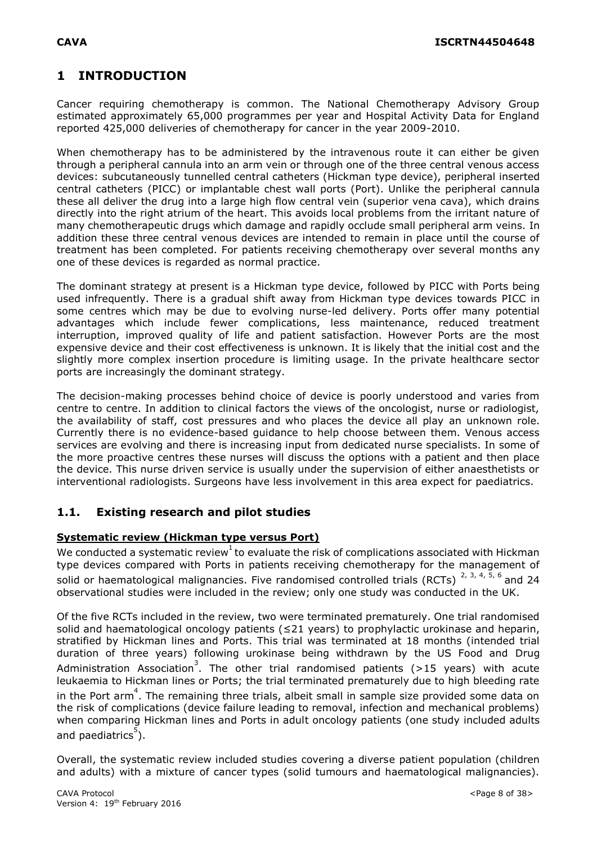# <span id="page-7-0"></span>**1 INTRODUCTION**

Cancer requiring chemotherapy is common. The National Chemotherapy Advisory Group estimated approximately 65,000 programmes per year and Hospital Activity Data for England reported 425,000 deliveries of chemotherapy for cancer in the year 2009-2010.

When chemotherapy has to be administered by the intravenous route it can either be given through a peripheral cannula into an arm vein or through one of the three central venous access devices: subcutaneously tunnelled central catheters (Hickman type device), peripheral inserted central catheters (PICC) or implantable chest wall ports (Port). Unlike the peripheral cannula these all deliver the drug into a large high flow central vein (superior vena cava), which drains directly into the right atrium of the heart. This avoids local problems from the irritant nature of many chemotherapeutic drugs which damage and rapidly occlude small peripheral arm veins. In addition these three central venous devices are intended to remain in place until the course of treatment has been completed. For patients receiving chemotherapy over several months any one of these devices is regarded as normal practice.

The dominant strategy at present is a Hickman type device, followed by PICC with Ports being used infrequently. There is a gradual shift away from Hickman type devices towards PICC in some centres which may be due to evolving nurse-led delivery. Ports offer many potential advantages which include fewer complications, less maintenance, reduced treatment interruption, improved quality of life and patient satisfaction. However Ports are the most expensive device and their cost effectiveness is unknown. It is likely that the initial cost and the slightly more complex insertion procedure is limiting usage. In the private healthcare sector ports are increasingly the dominant strategy.

The decision-making processes behind choice of device is poorly understood and varies from centre to centre. In addition to clinical factors the views of the oncologist, nurse or radiologist, the availability of staff, cost pressures and who places the device all play an unknown role. Currently there is no evidence-based guidance to help choose between them. Venous access services are evolving and there is increasing input from dedicated nurse specialists. In some of the more proactive centres these nurses will discuss the options with a patient and then place the device. This nurse driven service is usually under the supervision of either anaesthetists or interventional radiologists. Surgeons have less involvement in this area expect for paediatrics.

# <span id="page-7-1"></span>**1.1. Existing research and pilot studies**

# **Systematic review (Hickman type versus Port)**

We conducted a systematic review $^{\rm l}$  to evaluate the risk of complications associated with Hickman type devices compared with Ports in patients receiving chemotherapy for the management of solid or haematological malignancies. Five randomised controlled trials (RCTs)  $^{2, 3, 4, 5, 6}$  and 24 observational studies were included in the review; only one study was conducted in the UK.

Of the five RCTs included in the review, two were terminated prematurely. One trial randomised solid and haematological oncology patients (≤21 years) to prophylactic urokinase and heparin, stratified by Hickman lines and Ports. This trial was terminated at 18 months (intended trial duration of three years) following urokinase being withdrawn by the US Food and Drug Administration Association<sup>3</sup>. The other trial randomised patients (>15 years) with acute leukaemia to Hickman lines or Ports; the trial terminated prematurely due to high bleeding rate in the Port arm<sup>4</sup>. The remaining three trials, albeit small in sample size provided some data on the risk of complications (device failure leading to removal, infection and mechanical problems) when comparing Hickman lines and Ports in adult oncology patients (one study included adults and paediatrics<sup>5</sup>).

Overall, the systematic review included studies covering a diverse patient population (children and adults) with a mixture of cancer types (solid tumours and haematological malignancies).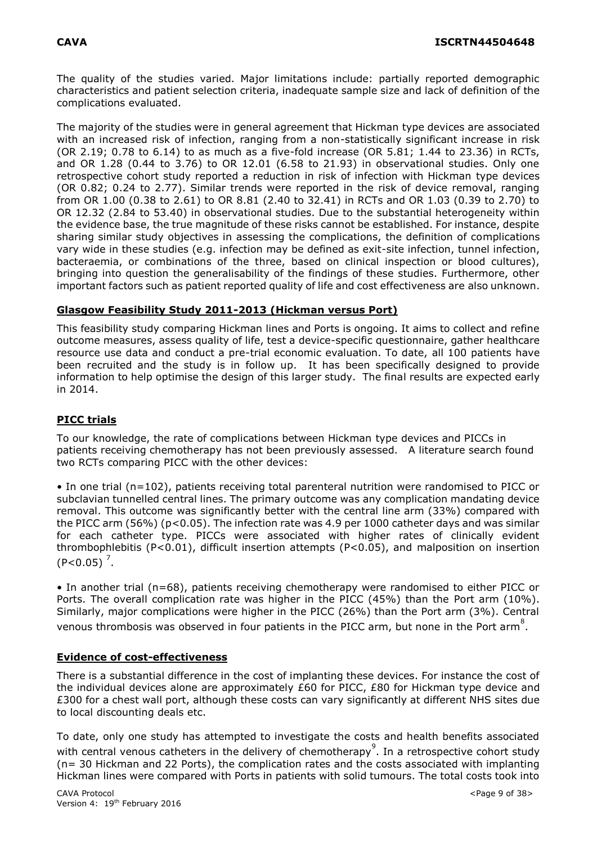The quality of the studies varied. Major limitations include: partially reported demographic characteristics and patient selection criteria, inadequate sample size and lack of definition of the complications evaluated.

The majority of the studies were in general agreement that Hickman type devices are associated with an increased risk of infection, ranging from a non-statistically significant increase in risk (OR 2.19; 0.78 to 6.14) to as much as a five-fold increase (OR 5.81; 1.44 to 23.36) in RCTs, and OR 1.28 (0.44 to 3.76) to OR 12.01 (6.58 to 21.93) in observational studies. Only one retrospective cohort study reported a reduction in risk of infection with Hickman type devices (OR 0.82; 0.24 to 2.77). Similar trends were reported in the risk of device removal, ranging from OR 1.00 (0.38 to 2.61) to OR 8.81 (2.40 to 32.41) in RCTs and OR 1.03 (0.39 to 2.70) to OR 12.32 (2.84 to 53.40) in observational studies. Due to the substantial heterogeneity within the evidence base, the true magnitude of these risks cannot be established. For instance, despite sharing similar study objectives in assessing the complications, the definition of complications vary wide in these studies (e.g. infection may be defined as exit-site infection, tunnel infection, bacteraemia, or combinations of the three, based on clinical inspection or blood cultures), bringing into question the generalisability of the findings of these studies. Furthermore, other important factors such as patient reported quality of life and cost effectiveness are also unknown.

### **Glasgow Feasibility Study 2011-2013 (Hickman versus Port)**

This feasibility study comparing Hickman lines and Ports is ongoing. It aims to collect and refine outcome measures, assess quality of life, test a device-specific questionnaire, gather healthcare resource use data and conduct a pre-trial economic evaluation. To date, all 100 patients have been recruited and the study is in follow up. It has been specifically designed to provide information to help optimise the design of this larger study. The final results are expected early in 2014.

## **PICC trials**

To our knowledge, the rate of complications between Hickman type devices and PICCs in patients receiving chemotherapy has not been previously assessed. A literature search found two RCTs comparing PICC with the other devices:

• In one trial (n=102), patients receiving total parenteral nutrition were randomised to PICC or subclavian tunnelled central lines. The primary outcome was any complication mandating device removal. This outcome was significantly better with the central line arm (33%) compared with the PICC arm (56%) (p<0.05). The infection rate was 4.9 per 1000 catheter days and was similar for each catheter type. PICCs were associated with higher rates of clinically evident thrombophlebitis (P<0.01), difficult insertion attempts (P<0.05), and malposition on insertion  $(P<0.05)^{7}$ .

• In another trial (n=68), patients receiving chemotherapy were randomised to either PICC or Ports. The overall complication rate was higher in the PICC (45%) than the Port arm (10%). Similarly, major complications were higher in the PICC (26%) than the Port arm (3%). Central venous thrombosis was observed in four patients in the PICC arm, but none in the Port arm<sup>8</sup>.

## **Evidence of cost-effectiveness**

There is a substantial difference in the cost of implanting these devices. For instance the cost of the individual devices alone are approximately £60 for PICC, £80 for Hickman type device and £300 for a chest wall port, although these costs can vary significantly at different NHS sites due to local discounting deals etc.

To date, only one study has attempted to investigate the costs and health benefits associated with central venous catheters in the delivery of chemotherapy<sup>9</sup>. In a retrospective cohort study (n= 30 Hickman and 22 Ports), the complication rates and the costs associated with implanting Hickman lines were compared with Ports in patients with solid tumours. The total costs took into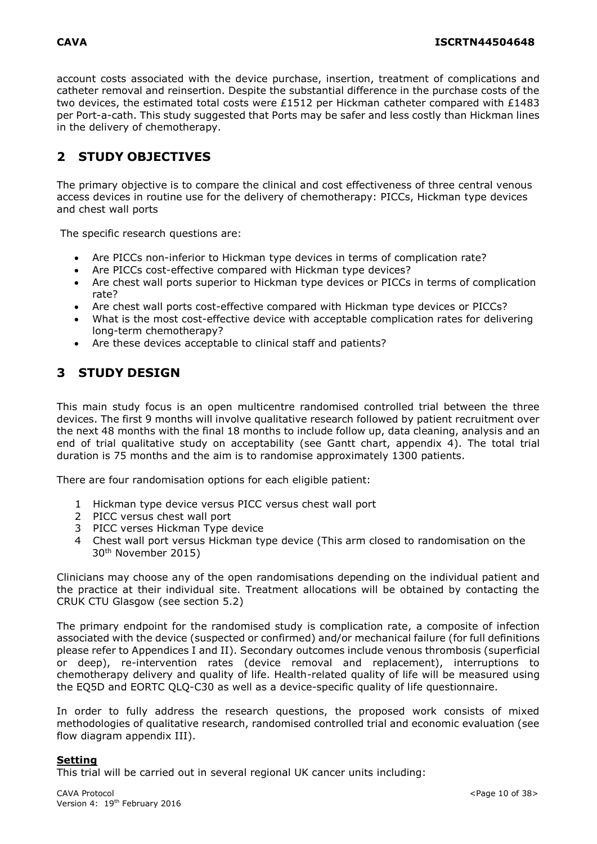account costs associated with the device purchase, insertion, treatment of complications and catheter removal and reinsertion. Despite the substantial difference in the purchase costs of the two devices, the estimated total costs were £1512 per Hickman catheter compared with £1483 per Port-a-cath. This study suggested that Ports may be safer and less costly than Hickman lines in the delivery of chemotherapy.

# <span id="page-9-0"></span>**2 STUDY OBJECTIVES**

The primary objective is to compare the clinical and cost effectiveness of three central venous access devices in routine use for the delivery of chemotherapy: PICCs, Hickman type devices and chest wall ports

The specific research questions are:

- Are PICCs non-inferior to Hickman type devices in terms of complication rate?
- Are PICCs cost-effective compared with Hickman type devices?
- Are chest wall ports superior to Hickman type devices or PICCs in terms of complication rate?
- Are chest wall ports cost-effective compared with Hickman type devices or PICCs?
- What is the most cost-effective device with acceptable complication rates for delivering long-term chemotherapy?
- Are these devices acceptable to clinical staff and patients?

# <span id="page-9-1"></span>**3 STUDY DESIGN**

This main study focus is an open multicentre randomised controlled trial between the three devices. The first 9 months will involve qualitative research followed by patient recruitment over the next 48 months with the final 18 months to include follow up, data cleaning, analysis and an end of trial qualitative study on acceptability (see Gantt chart, appendix 4). The total trial duration is 75 months and the aim is to randomise approximately 1300 patients.

There are four randomisation options for each eligible patient:

- 1 Hickman type device versus PICC versus chest wall port
- 2 PICC versus chest wall port
- 3 PICC verses Hickman Type device
- 4 Chest wall port versus Hickman type device (This arm closed to randomisation on the 30th November 2015)

Clinicians may choose any of the open randomisations depending on the individual patient and the practice at their individual site. Treatment allocations will be obtained by contacting the CRUK CTU Glasgow (see section 5.2)

The primary endpoint for the randomised study is complication rate, a composite of infection associated with the device (suspected or confirmed) and/or mechanical failure (for full definitions please refer to Appendices I and II). Secondary outcomes include venous thrombosis (superficial or deep), re-intervention rates (device removal and replacement), interruptions to chemotherapy delivery and quality of life. Health-related quality of life will be measured using the EQ5D and EORTC QLQ-C30 as well as a device-specific quality of life questionnaire.

In order to fully address the research questions, the proposed work consists of mixed methodologies of qualitative research, randomised controlled trial and economic evaluation (see flow diagram appendix III).

#### **Setting**

This trial will be carried out in several regional UK cancer units including: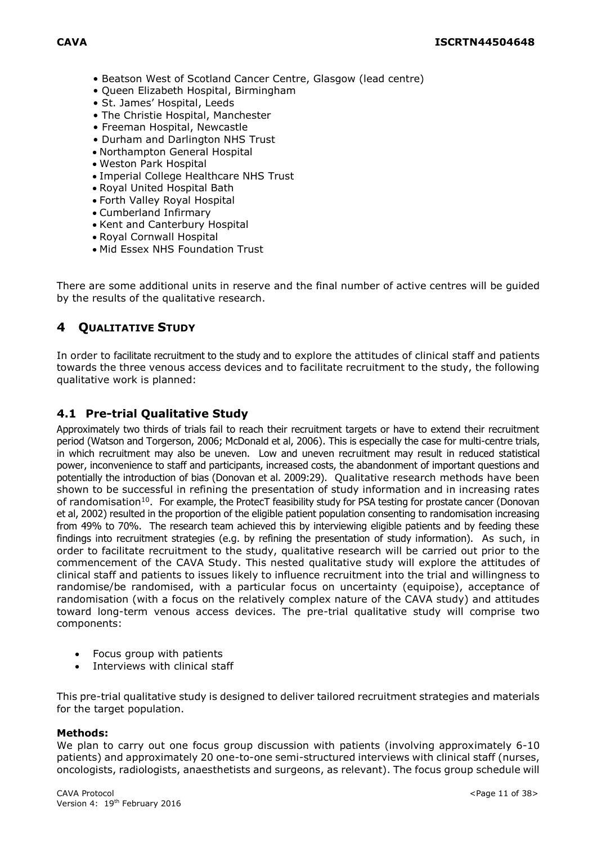- Beatson West of Scotland Cancer Centre, Glasgow (lead centre)
- Queen Elizabeth Hospital, Birmingham
- St. James' Hospital, Leeds
- The Christie Hospital, Manchester
- Freeman Hospital, Newcastle
- Durham and Darlington NHS Trust
- Northampton General Hospital
- Weston Park Hospital
- Imperial College Healthcare NHS Trust
- Royal United Hospital Bath
- Forth Valley Royal Hospital
- Cumberland Infirmary
- Kent and Canterbury Hospital
- Royal Cornwall Hospital
- Mid Essex NHS Foundation Trust

There are some additional units in reserve and the final number of active centres will be guided by the results of the qualitative research.

# <span id="page-10-0"></span>**4 QUALITATIVE STUDY**

In order to facilitate recruitment to the study and to explore the attitudes of clinical staff and patients towards the three venous access devices and to facilitate recruitment to the study, the following qualitative work is planned:

# <span id="page-10-1"></span>**4.1 Pre-trial Qualitative Study**

Approximately two thirds of trials fail to reach their recruitment targets or have to extend their recruitment period (Watson and Torgerson, 2006; McDonald et al, 2006). This is especially the case for multi-centre trials, in which recruitment may also be uneven. Low and uneven recruitment may result in reduced statistical power, inconvenience to staff and participants, increased costs, the abandonment of important questions and potentially the introduction of bias (Donovan et al. 2009:29). Qualitative research methods have been shown to be successful in refining the presentation of study information and in increasing rates of randomisation<sup>10</sup>. For example, the ProtecT feasibility study for PSA testing for prostate cancer (Donovan et al, 2002) resulted in the proportion of the eligible patient population consenting to randomisation increasing from 49% to 70%. The research team achieved this by interviewing eligible patients and by feeding these findings into recruitment strategies (e.g. by refining the presentation of study information). As such, in order to facilitate recruitment to the study, qualitative research will be carried out prior to the commencement of the CAVA Study. This nested qualitative study will explore the attitudes of clinical staff and patients to issues likely to influence recruitment into the trial and willingness to randomise/be randomised, with a particular focus on uncertainty (equipoise), acceptance of randomisation (with a focus on the relatively complex nature of the CAVA study) and attitudes toward long-term venous access devices. The pre-trial qualitative study will comprise two components:

- Focus group with patients
- Interviews with clinical staff

This pre-trial qualitative study is designed to deliver tailored recruitment strategies and materials for the target population.

#### **Methods:**

We plan to carry out one focus group discussion with patients (involving approximately 6-10 patients) and approximately 20 one-to-one semi-structured interviews with clinical staff (nurses, oncologists, radiologists, anaesthetists and surgeons, as relevant). The focus group schedule will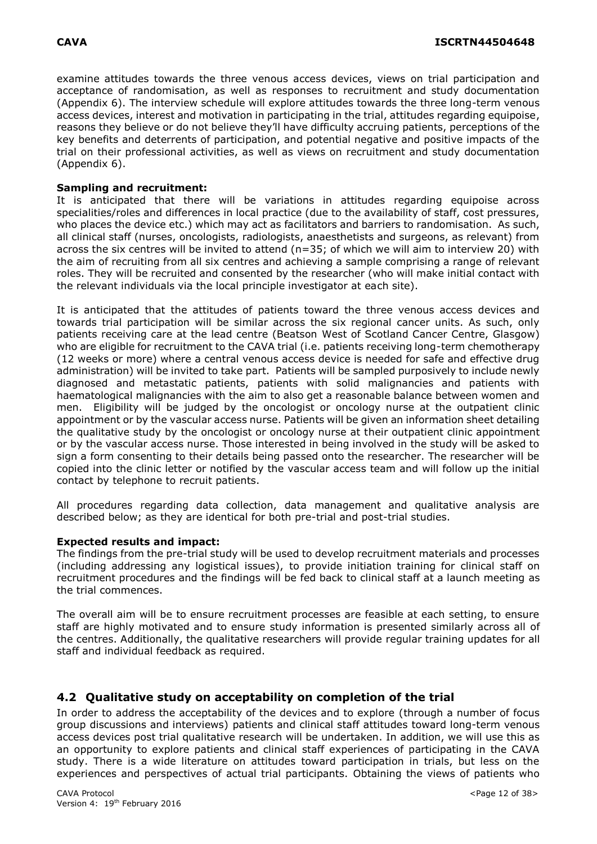examine attitudes towards the three venous access devices, views on trial participation and acceptance of randomisation, as well as responses to recruitment and study documentation (Appendix 6). The interview schedule will explore attitudes towards the three long-term venous access devices, interest and motivation in participating in the trial, attitudes regarding equipoise, reasons they believe or do not believe they'll have difficulty accruing patients, perceptions of the key benefits and deterrents of participation, and potential negative and positive impacts of the trial on their professional activities, as well as views on recruitment and study documentation (Appendix 6).

### **Sampling and recruitment:**

It is anticipated that there will be variations in attitudes regarding equipoise across specialities/roles and differences in local practice (due to the availability of staff, cost pressures, who places the device etc.) which may act as facilitators and barriers to randomisation. As such, all clinical staff (nurses, oncologists, radiologists, anaesthetists and surgeons, as relevant) from across the six centres will be invited to attend (n=35; of which we will aim to interview 20) with the aim of recruiting from all six centres and achieving a sample comprising a range of relevant roles. They will be recruited and consented by the researcher (who will make initial contact with the relevant individuals via the local principle investigator at each site).

It is anticipated that the attitudes of patients toward the three venous access devices and towards trial participation will be similar across the six regional cancer units. As such, only patients receiving care at the lead centre (Beatson West of Scotland Cancer Centre, Glasgow) who are eligible for recruitment to the CAVA trial (i.e. patients receiving long-term chemotherapy (12 weeks or more) where a central venous access device is needed for safe and effective drug administration) will be invited to take part. Patients will be sampled purposively to include newly diagnosed and metastatic patients, patients with solid malignancies and patients with haematological malignancies with the aim to also get a reasonable balance between women and men. Eligibility will be judged by the oncologist or oncology nurse at the outpatient clinic appointment or by the vascular access nurse. Patients will be given an information sheet detailing the qualitative study by the oncologist or oncology nurse at their outpatient clinic appointment or by the vascular access nurse. Those interested in being involved in the study will be asked to sign a form consenting to their details being passed onto the researcher. The researcher will be copied into the clinic letter or notified by the vascular access team and will follow up the initial contact by telephone to recruit patients.

All procedures regarding data collection, data management and qualitative analysis are described below; as they are identical for both pre-trial and post-trial studies.

#### **Expected results and impact:**

The findings from the pre-trial study will be used to develop recruitment materials and processes (including addressing any logistical issues), to provide initiation training for clinical staff on recruitment procedures and the findings will be fed back to clinical staff at a launch meeting as the trial commences.

The overall aim will be to ensure recruitment processes are feasible at each setting, to ensure staff are highly motivated and to ensure study information is presented similarly across all of the centres. Additionally, the qualitative researchers will provide regular training updates for all staff and individual feedback as required.

## <span id="page-11-0"></span>**4.2 Qualitative study on acceptability on completion of the trial**

In order to address the acceptability of the devices and to explore (through a number of focus group discussions and interviews) patients and clinical staff attitudes toward long-term venous access devices post trial qualitative research will be undertaken. In addition, we will use this as an opportunity to explore patients and clinical staff experiences of participating in the CAVA study. There is a wide literature on attitudes toward participation in trials, but less on the experiences and perspectives of actual trial participants. Obtaining the views of patients who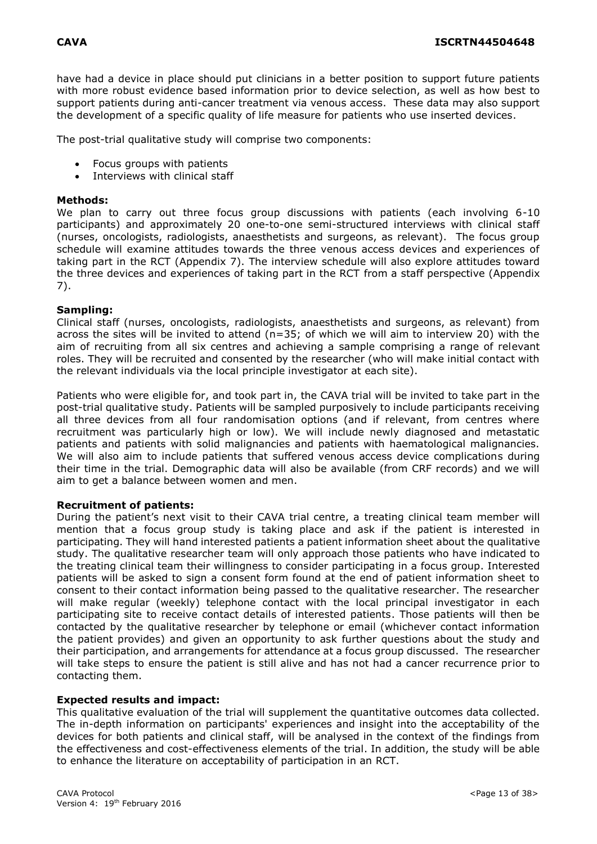have had a device in place should put clinicians in a better position to support future patients with more robust evidence based information prior to device selection, as well as how best to support patients during anti-cancer treatment via venous access. These data may also support the development of a specific quality of life measure for patients who use inserted devices.

The post-trial qualitative study will comprise two components:

- Focus groups with patients
- Interviews with clinical staff

#### **Methods:**

We plan to carry out three focus group discussions with patients (each involving 6-10 participants) and approximately 20 one-to-one semi-structured interviews with clinical staff (nurses, oncologists, radiologists, anaesthetists and surgeons, as relevant). The focus group schedule will examine attitudes towards the three venous access devices and experiences of taking part in the RCT (Appendix 7). The interview schedule will also explore attitudes toward the three devices and experiences of taking part in the RCT from a staff perspective (Appendix 7).

#### **Sampling:**

Clinical staff (nurses, oncologists, radiologists, anaesthetists and surgeons, as relevant) from across the sites will be invited to attend (n=35; of which we will aim to interview 20) with the aim of recruiting from all six centres and achieving a sample comprising a range of relevant roles. They will be recruited and consented by the researcher (who will make initial contact with the relevant individuals via the local principle investigator at each site).

Patients who were eligible for, and took part in, the CAVA trial will be invited to take part in the post-trial qualitative study. Patients will be sampled purposively to include participants receiving all three devices from all four randomisation options (and if relevant, from centres where recruitment was particularly high or low). We will include newly diagnosed and metastatic patients and patients with solid malignancies and patients with haematological malignancies. We will also aim to include patients that suffered venous access device complications during their time in the trial. Demographic data will also be available (from CRF records) and we will aim to get a balance between women and men.

#### **Recruitment of patients:**

During the patient's next visit to their CAVA trial centre, a treating clinical team member will mention that a focus group study is taking place and ask if the patient is interested in participating. They will hand interested patients a patient information sheet about the qualitative study. The qualitative researcher team will only approach those patients who have indicated to the treating clinical team their willingness to consider participating in a focus group. Interested patients will be asked to sign a consent form found at the end of patient information sheet to consent to their contact information being passed to the qualitative researcher. The researcher will make regular (weekly) telephone contact with the local principal investigator in each participating site to receive contact details of interested patients. Those patients will then be contacted by the qualitative researcher by telephone or email (whichever contact information the patient provides) and given an opportunity to ask further questions about the study and their participation, and arrangements for attendance at a focus group discussed. The researcher will take steps to ensure the patient is still alive and has not had a cancer recurrence prior to contacting them.

#### **Expected results and impact:**

This qualitative evaluation of the trial will supplement the quantitative outcomes data collected. The in-depth information on participants' experiences and insight into the acceptability of the devices for both patients and clinical staff, will be analysed in the context of the findings from the effectiveness and cost-effectiveness elements of the trial. In addition, the study will be able to enhance the literature on acceptability of participation in an RCT.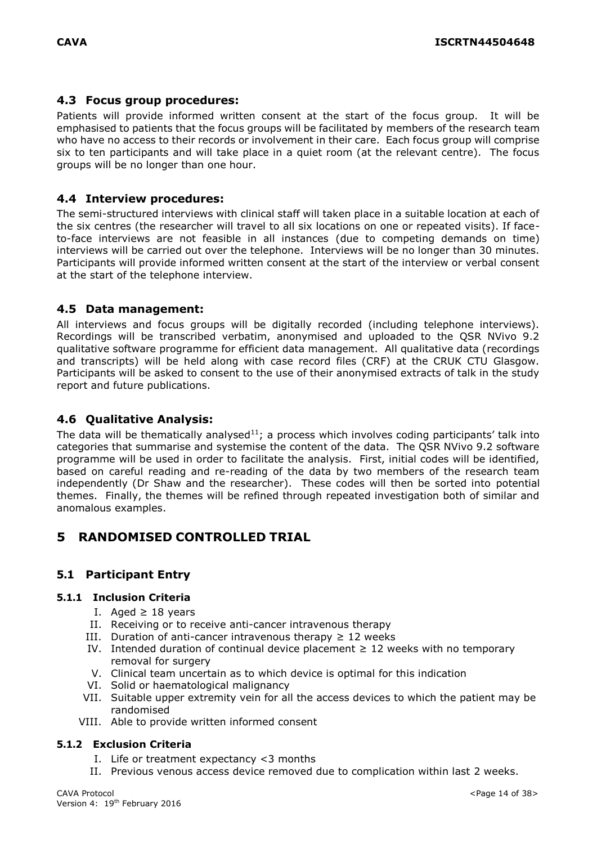## <span id="page-13-0"></span>**4.3 Focus group procedures:**

Patients will provide informed written consent at the start of the focus group. It will be emphasised to patients that the focus groups will be facilitated by members of the research team who have no access to their records or involvement in their care. Each focus group will comprise six to ten participants and will take place in a quiet room (at the relevant centre). The focus groups will be no longer than one hour.

# <span id="page-13-1"></span>**4.4 Interview procedures:**

The semi-structured interviews with clinical staff will taken place in a suitable location at each of the six centres (the researcher will travel to all six locations on one or repeated visits). If faceto-face interviews are not feasible in all instances (due to competing demands on time) interviews will be carried out over the telephone. Interviews will be no longer than 30 minutes. Participants will provide informed written consent at the start of the interview or verbal consent at the start of the telephone interview.

# <span id="page-13-2"></span>**4.5 Data management:**

All interviews and focus groups will be digitally recorded (including telephone interviews). Recordings will be transcribed verbatim, anonymised and uploaded to the QSR NVivo 9.2 qualitative software programme for efficient data management. All qualitative data (recordings and transcripts) will be held along with case record files (CRF) at the CRUK CTU Glasgow. Participants will be asked to consent to the use of their anonymised extracts of talk in the study report and future publications.

# <span id="page-13-3"></span>**4.6 Qualitative Analysis:**

The data will be thematically analysed<sup>11</sup>; a process which involves coding participants' talk into categories that summarise and systemise the content of the data. The QSR NVivo 9.2 software programme will be used in order to facilitate the analysis. First, initial codes will be identified, based on careful reading and re-reading of the data by two members of the research team independently (Dr Shaw and the researcher). These codes will then be sorted into potential themes. Finally, the themes will be refined through repeated investigation both of similar and anomalous examples.

# <span id="page-13-4"></span>**5 RANDOMISED CONTROLLED TRIAL**

# <span id="page-13-5"></span>**5.1 Participant Entry**

## <span id="page-13-6"></span>**5.1.1 Inclusion Criteria**

- I. Aged ≥ 18 years
- II. Receiving or to receive anti-cancer intravenous therapy
- III. Duration of anti-cancer intravenous therapy  $\geq 12$  weeks
- IV. Intended duration of continual device placement  $\geq 12$  weeks with no temporary removal for surgery
- V. Clinical team uncertain as to which device is optimal for this indication
- VI. Solid or haematological malignancy
- VII. Suitable upper extremity vein for all the access devices to which the patient may be randomised
- VIII. Able to provide written informed consent

## <span id="page-13-7"></span>**5.1.2 Exclusion Criteria**

- I. Life or treatment expectancy <3 months
- II. Previous venous access device removed due to complication within last 2 weeks.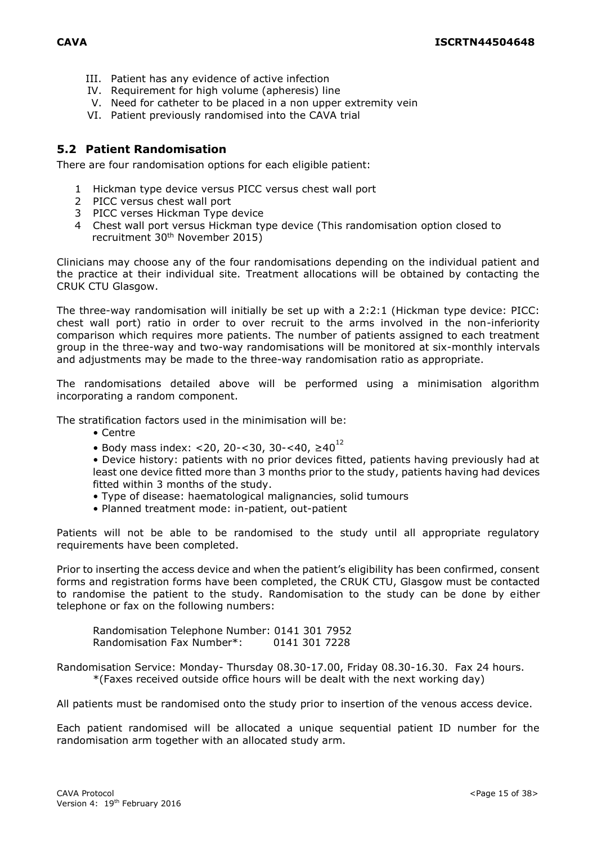- III. Patient has any evidence of active infection
- IV. Requirement for high volume (apheresis) line
- V. Need for catheter to be placed in a non upper extremity vein
- VI. Patient previously randomised into the CAVA trial

# <span id="page-14-0"></span>**5.2 Patient Randomisation**

There are four randomisation options for each eligible patient:

- 1 Hickman type device versus PICC versus chest wall port
- 2 PICC versus chest wall port
- 3 PICC verses Hickman Type device
- 4 Chest wall port versus Hickman type device (This randomisation option closed to recruitment 30th November 2015)

Clinicians may choose any of the four randomisations depending on the individual patient and the practice at their individual site. Treatment allocations will be obtained by contacting the CRUK CTU Glasgow.

The three-way randomisation will initially be set up with a 2:2:1 (Hickman type device: PICC: chest wall port) ratio in order to over recruit to the arms involved in the non-inferiority comparison which requires more patients. The number of patients assigned to each treatment group in the three-way and two-way randomisations will be monitored at six-monthly intervals and adjustments may be made to the three-way randomisation ratio as appropriate.

The randomisations detailed above will be performed using a minimisation algorithm incorporating a random component.

The stratification factors used in the minimisation will be:

- Centre
- Body mass index: <20, 20-<30, 30-<40,  $\geq 40^{12}$

• Device history: patients with no prior devices fitted, patients having previously had at least one device fitted more than 3 months prior to the study, patients having had devices fitted within 3 months of the study.

- Type of disease: haematological malignancies, solid tumours
- Planned treatment mode: in-patient, out-patient

Patients will not be able to be randomised to the study until all appropriate regulatory requirements have been completed.

Prior to inserting the access device and when the patient's eligibility has been confirmed, consent forms and registration forms have been completed, the CRUK CTU, Glasgow must be contacted to randomise the patient to the study. Randomisation to the study can be done by either telephone or fax on the following numbers:

Randomisation Telephone Number: 0141 301 7952 Randomisation Fax Number\*: 0141 301 7228

Randomisation Service: Monday- Thursday 08.30-17.00, Friday 08.30-16.30. Fax 24 hours. \*(Faxes received outside office hours will be dealt with the next working day)

All patients must be randomised onto the study prior to insertion of the venous access device.

Each patient randomised will be allocated a unique sequential patient ID number for the randomisation arm together with an allocated study arm.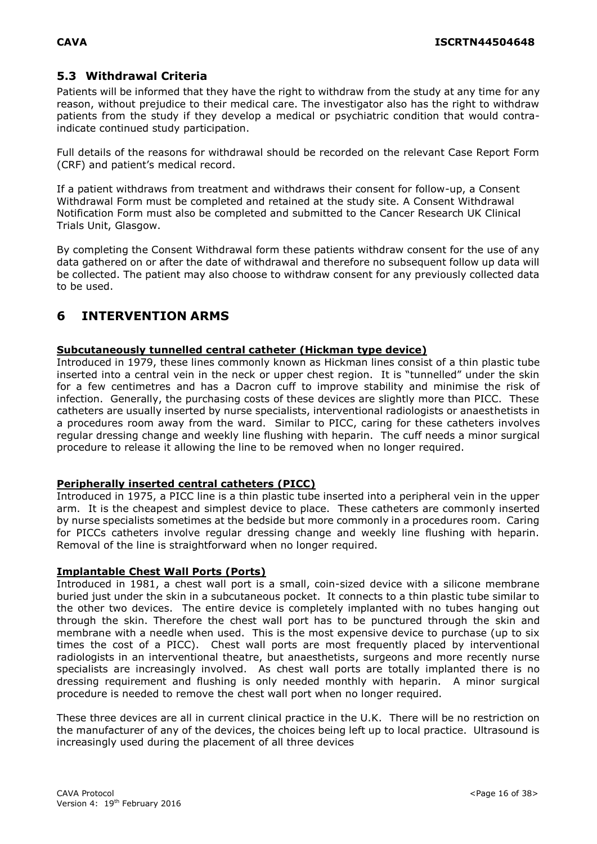# <span id="page-15-0"></span>**5.3 Withdrawal Criteria**

Patients will be informed that they have the right to withdraw from the study at any time for any reason, without prejudice to their medical care. The investigator also has the right to withdraw patients from the study if they develop a medical or psychiatric condition that would contraindicate continued study participation.

Full details of the reasons for withdrawal should be recorded on the relevant Case Report Form (CRF) and patient's medical record.

If a patient withdraws from treatment and withdraws their consent for follow-up, a Consent Withdrawal Form must be completed and retained at the study site. A Consent Withdrawal Notification Form must also be completed and submitted to the Cancer Research UK Clinical Trials Unit, Glasgow.

By completing the Consent Withdrawal form these patients withdraw consent for the use of any data gathered on or after the date of withdrawal and therefore no subsequent follow up data will be collected. The patient may also choose to withdraw consent for any previously collected data to be used.

# <span id="page-15-1"></span>**6 INTERVENTION ARMS**

### **Subcutaneously tunnelled central catheter (Hickman type device)**

Introduced in 1979, these lines commonly known as Hickman lines consist of a thin plastic tube inserted into a central vein in the neck or upper chest region. It is "tunnelled" under the skin for a few centimetres and has a Dacron cuff to improve stability and minimise the risk of infection. Generally, the purchasing costs of these devices are slightly more than PICC. These catheters are usually inserted by nurse specialists, interventional radiologists or anaesthetists in a procedures room away from the ward. Similar to PICC, caring for these catheters involves regular dressing change and weekly line flushing with heparin. The cuff needs a minor surgical procedure to release it allowing the line to be removed when no longer required.

#### **Peripherally inserted central catheters (PICC)**

Introduced in 1975, a PICC line is a thin plastic tube inserted into a peripheral vein in the upper arm. It is the cheapest and simplest device to place. These catheters are commonly inserted by nurse specialists sometimes at the bedside but more commonly in a procedures room. Caring for PICCs catheters involve regular dressing change and weekly line flushing with heparin. Removal of the line is straightforward when no longer required.

#### **Implantable Chest Wall Ports (Ports)**

Introduced in 1981, a chest wall port is a small, coin-sized device with a silicone membrane buried just under the skin in a subcutaneous pocket. It connects to a thin plastic tube similar to the other two devices. The entire device is completely implanted with no tubes hanging out through the skin. Therefore the chest wall port has to be punctured through the skin and membrane with a needle when used. This is the most expensive device to purchase (up to six times the cost of a PICC). Chest wall ports are most frequently placed by interventional radiologists in an interventional theatre, but anaesthetists, surgeons and more recently nurse specialists are increasingly involved. As chest wall ports are totally implanted there is no dressing requirement and flushing is only needed monthly with heparin. A minor surgical procedure is needed to remove the chest wall port when no longer required.

These three devices are all in current clinical practice in the U.K. There will be no restriction on the manufacturer of any of the devices, the choices being left up to local practice. Ultrasound is increasingly used during the placement of all three devices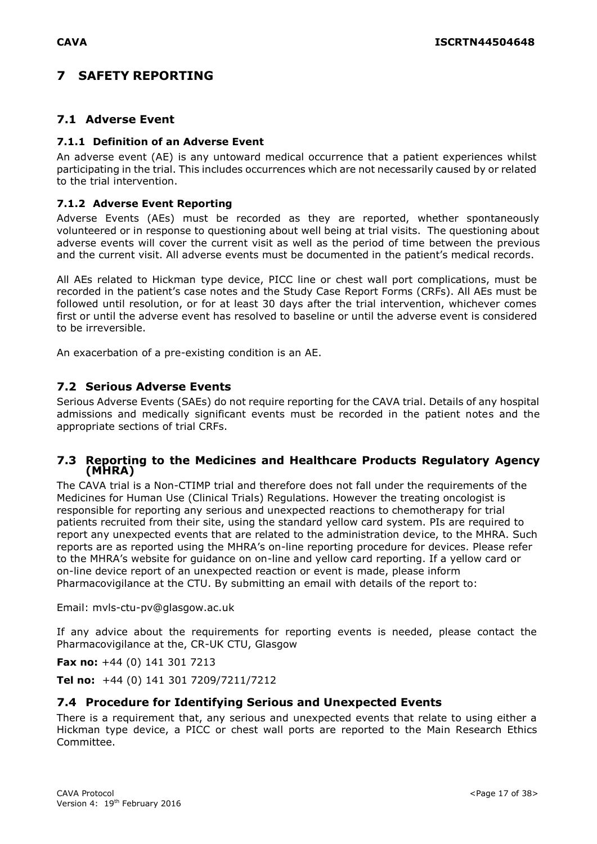# <span id="page-16-0"></span>**7 SAFETY REPORTING**

# <span id="page-16-1"></span>**7.1 Adverse Event**

### <span id="page-16-2"></span>**7.1.1 Definition of an Adverse Event**

An adverse event (AE) is any untoward medical occurrence that a patient experiences whilst participating in the trial. This includes occurrences which are not necessarily caused by or related to the trial intervention.

### <span id="page-16-3"></span>**7.1.2 Adverse Event Reporting**

Adverse Events (AEs) must be recorded as they are reported, whether spontaneously volunteered or in response to questioning about well being at trial visits. The questioning about adverse events will cover the current visit as well as the period of time between the previous and the current visit. All adverse events must be documented in the patient's medical records.

All AEs related to Hickman type device, PICC line or chest wall port complications, must be recorded in the patient's case notes and the Study Case Report Forms (CRFs). All AEs must be followed until resolution, or for at least 30 days after the trial intervention, whichever comes first or until the adverse event has resolved to baseline or until the adverse event is considered to be irreversible.

An exacerbation of a pre-existing condition is an AE.

## <span id="page-16-4"></span>**7.2 Serious Adverse Events**

Serious Adverse Events (SAEs) do not require reporting for the CAVA trial. Details of any hospital admissions and medically significant events must be recorded in the patient notes and the appropriate sections of trial CRFs.

### <span id="page-16-5"></span>**7.3 Reporting to the Medicines and Healthcare Products Regulatory Agency (MHRA)**

The CAVA trial is a Non-CTIMP trial and therefore does not fall under the requirements of the Medicines for Human Use (Clinical Trials) Regulations. However the treating oncologist is responsible for reporting any serious and unexpected reactions to chemotherapy for trial patients recruited from their site, using the standard yellow card system. PIs are required to report any unexpected events that are related to the administration device, to the MHRA. Such reports are as reported using the MHRA's on-line reporting procedure for devices. Please refer to the MHRA's website for guidance on on-line and yellow card reporting. If a yellow card or on-line device report of an unexpected reaction or event is made, please inform Pharmacovigilance at the CTU. By submitting an email with details of the report to:

Email: [mvls-ctu-pv@glasgow.ac.uk](mailto:mvls-ctu-pv@glasgow.ac.uk)

If any advice about the requirements for reporting events is needed, please contact the Pharmacovigilance at the, CR-UK CTU, Glasgow

**Fax no:** +44 (0) 141 301 7213

**Tel no:** +44 (0) 141 301 7209/7211/7212

## <span id="page-16-6"></span>**7.4 Procedure for Identifying Serious and Unexpected Events**

There is a requirement that, any serious and unexpected events that relate to using either a Hickman type device, a PICC or chest wall ports are reported to the Main Research Ethics Committee.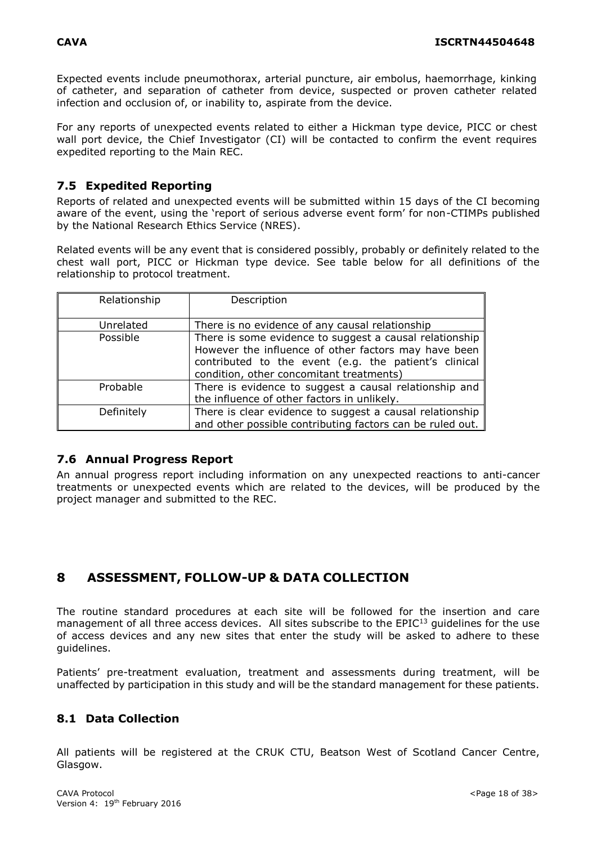Expected events include pneumothorax, arterial puncture, air embolus, haemorrhage, kinking of catheter, and separation of catheter from device, suspected or proven catheter related infection and occlusion of, or inability to, aspirate from the device.

For any reports of unexpected events related to either a Hickman type device, PICC or chest wall port device, the Chief Investigator (CI) will be contacted to confirm the event requires expedited reporting to the Main REC.

# <span id="page-17-0"></span>**7.5 Expedited Reporting**

Reports of related and unexpected events will be submitted within 15 days of the CI becoming aware of the event, using the 'report of serious adverse event form' for non-CTIMPs published by the National Research Ethics Service (NRES).

Related events will be any event that is considered possibly, probably or definitely related to the chest wall port, PICC or Hickman type device. See table below for all definitions of the relationship to protocol treatment.

| Relationship | Description                                                                                                                                                                                                          |
|--------------|----------------------------------------------------------------------------------------------------------------------------------------------------------------------------------------------------------------------|
| Unrelated    | There is no evidence of any causal relationship                                                                                                                                                                      |
| Possible     | There is some evidence to suggest a causal relationship<br>However the influence of other factors may have been<br>contributed to the event (e.g. the patient's clinical<br>condition, other concomitant treatments) |
| Probable     | There is evidence to suggest a causal relationship and<br>the influence of other factors in unlikely.                                                                                                                |
| Definitely   | There is clear evidence to suggest a causal relationship<br>and other possible contributing factors can be ruled out.                                                                                                |

## <span id="page-17-1"></span>**7.6 Annual Progress Report**

An annual progress report including information on any unexpected reactions to anti-cancer treatments or unexpected events which are related to the devices, will be produced by the project manager and submitted to the REC.

# <span id="page-17-2"></span>**8 ASSESSMENT, FOLLOW-UP & DATA COLLECTION**

The routine standard procedures at each site will be followed for the insertion and care management of all three access devices. All sites subscribe to the EPIC<sup>13</sup> guidelines for the use of access devices and any new sites that enter the study will be asked to adhere to these guidelines.

Patients' pre-treatment evaluation, treatment and assessments during treatment, will be unaffected by participation in this study and will be the standard management for these patients.

# <span id="page-17-3"></span>**8.1 Data Collection**

All patients will be registered at the CRUK CTU, Beatson West of Scotland Cancer Centre, Glasgow.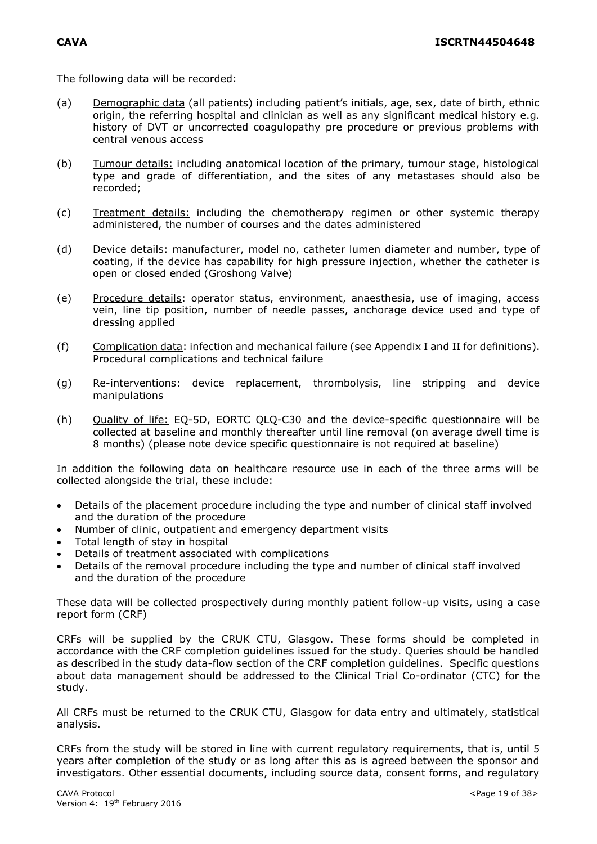The following data will be recorded:

- (a) Demographic data (all patients) including patient's initials, age, sex, date of birth, ethnic origin, the referring hospital and clinician as well as any significant medical history e.g. history of DVT or uncorrected coagulopathy pre procedure or previous problems with central venous access
- (b) Tumour details: including anatomical location of the primary, tumour stage, histological type and grade of differentiation, and the sites of any metastases should also be recorded;
- (c) Treatment details: including the chemotherapy regimen or other systemic therapy administered, the number of courses and the dates administered
- (d) Device details: manufacturer, model no, catheter lumen diameter and number, type of coating, if the device has capability for high pressure injection, whether the catheter is open or closed ended (Groshong Valve)
- (e) Procedure details: operator status, environment, anaesthesia, use of imaging, access vein, line tip position, number of needle passes, anchorage device used and type of dressing applied
- (f) Complication data: infection and mechanical failure (see Appendix I and II for definitions). Procedural complications and technical failure
- (g) Re-interventions: device replacement, thrombolysis, line stripping and device manipulations
- (h) Quality of life: EQ-5D, EORTC QLQ-C30 and the device-specific questionnaire will be collected at baseline and monthly thereafter until line removal (on average dwell time is 8 months) (please note device specific questionnaire is not required at baseline)

In addition the following data on healthcare resource use in each of the three arms will be collected alongside the trial, these include:

- Details of the placement procedure including the type and number of clinical staff involved and the duration of the procedure
- Number of clinic, outpatient and emergency department visits
- Total length of stay in hospital
- Details of treatment associated with complications
- Details of the removal procedure including the type and number of clinical staff involved and the duration of the procedure

These data will be collected prospectively during monthly patient follow-up visits, using a case report form (CRF)

CRFs will be supplied by the CRUK CTU, Glasgow. These forms should be completed in accordance with the CRF completion guidelines issued for the study. Queries should be handled as described in the study data-flow section of the CRF completion guidelines. Specific questions about data management should be addressed to the Clinical Trial Co-ordinator (CTC) for the study.

All CRFs must be returned to the CRUK CTU, Glasgow for data entry and ultimately, statistical analysis.

CRFs from the study will be stored in line with current regulatory requirements, that is, until 5 years after completion of the study or as long after this as is agreed between the sponsor and investigators. Other essential documents, including source data, consent forms, and regulatory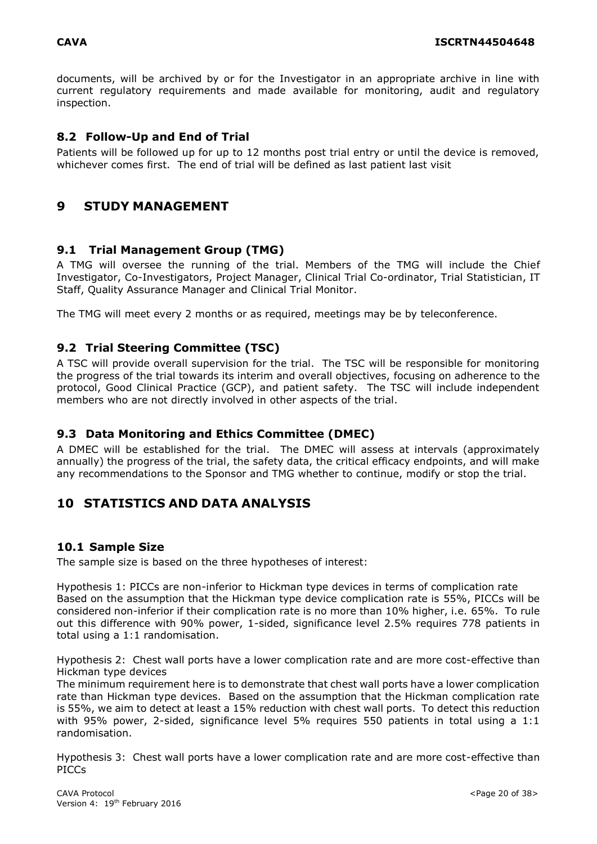documents, will be archived by or for the Investigator in an appropriate archive in line with current regulatory requirements and made available for monitoring, audit and regulatory inspection.

# <span id="page-19-0"></span>**8.2 Follow-Up and End of Trial**

Patients will be followed up for up to 12 months post trial entry or until the device is removed, whichever comes first. The end of trial will be defined as last patient last visit

# <span id="page-19-1"></span>**9 STUDY MANAGEMENT**

## <span id="page-19-2"></span>**9.1 Trial Management Group (TMG)**

A TMG will oversee the running of the trial. Members of the TMG will include the Chief Investigator, Co-Investigators, Project Manager, Clinical Trial Co-ordinator, Trial Statistician, IT Staff, Quality Assurance Manager and Clinical Trial Monitor.

The TMG will meet every 2 months or as required, meetings may be by teleconference.

## <span id="page-19-3"></span>**9.2 Trial Steering Committee (TSC)**

A TSC will provide overall supervision for the trial. The TSC will be responsible for monitoring the progress of the trial towards its interim and overall objectives, focusing on adherence to the protocol, Good Clinical Practice (GCP), and patient safety. The TSC will include independent members who are not directly involved in other aspects of the trial.

## <span id="page-19-4"></span>**9.3 Data Monitoring and Ethics Committee (DMEC)**

A DMEC will be established for the trial. The DMEC will assess at intervals (approximately annually) the progress of the trial, the safety data, the critical efficacy endpoints, and will make any recommendations to the Sponsor and TMG whether to continue, modify or stop the trial.

# <span id="page-19-5"></span>**10 STATISTICS AND DATA ANALYSIS**

## <span id="page-19-6"></span>**10.1 Sample Size**

The sample size is based on the three hypotheses of interest:

Hypothesis 1: PICCs are non-inferior to Hickman type devices in terms of complication rate Based on the assumption that the Hickman type device complication rate is 55%, PICCs will be considered non-inferior if their complication rate is no more than 10% higher, i.e. 65%. To rule out this difference with 90% power, 1-sided, significance level 2.5% requires 778 patients in total using a 1:1 randomisation.

Hypothesis 2: Chest wall ports have a lower complication rate and are more cost-effective than Hickman type devices

The minimum requirement here is to demonstrate that chest wall ports have a lower complication rate than Hickman type devices. Based on the assumption that the Hickman complication rate is 55%, we aim to detect at least a 15% reduction with chest wall ports. To detect this reduction with 95% power, 2-sided, significance level 5% requires 550 patients in total using a 1:1 randomisation.

Hypothesis 3: Chest wall ports have a lower complication rate and are more cost-effective than PICCs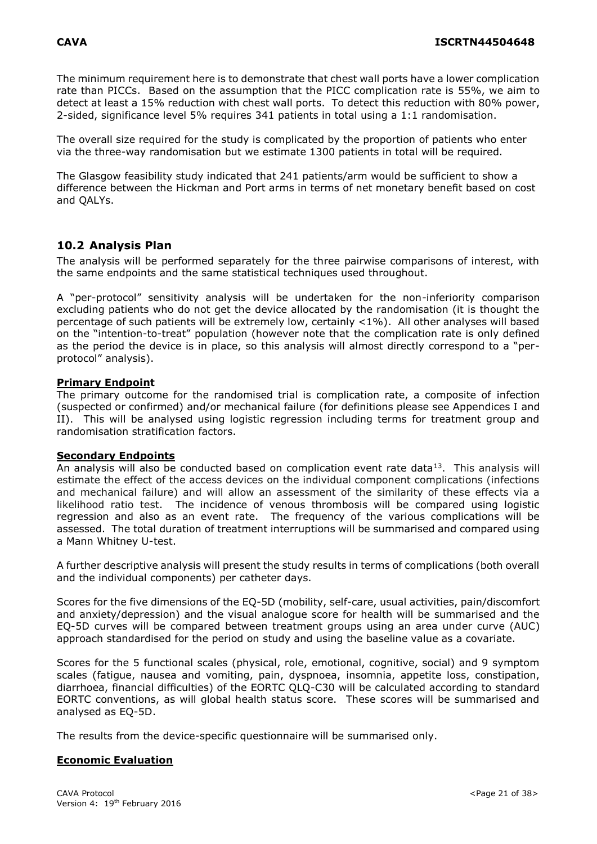The minimum requirement here is to demonstrate that chest wall ports have a lower complication rate than PICCs. Based on the assumption that the PICC complication rate is 55%, we aim to detect at least a 15% reduction with chest wall ports. To detect this reduction with 80% power, 2-sided, significance level 5% requires 341 patients in total using a 1:1 randomisation.

The overall size required for the study is complicated by the proportion of patients who enter via the three-way randomisation but we estimate 1300 patients in total will be required.

The Glasgow feasibility study indicated that 241 patients/arm would be sufficient to show a difference between the Hickman and Port arms in terms of net monetary benefit based on cost and QALYs.

# <span id="page-20-0"></span>**10.2 Analysis Plan**

The analysis will be performed separately for the three pairwise comparisons of interest, with the same endpoints and the same statistical techniques used throughout.

A "per-protocol" sensitivity analysis will be undertaken for the non-inferiority comparison excluding patients who do not get the device allocated by the randomisation (it is thought the percentage of such patients will be extremely low, certainly <1%). All other analyses will based on the "intention-to-treat" population (however note that the complication rate is only defined as the period the device is in place, so this analysis will almost directly correspond to a "perprotocol" analysis).

### **Primary Endpoint**

The primary outcome for the randomised trial is complication rate, a composite of infection (suspected or confirmed) and/or mechanical failure (for definitions please see Appendices I and II). This will be analysed using logistic regression including terms for treatment group and randomisation stratification factors.

#### **Secondary Endpoints**

An analysis will also be conducted based on complication event rate data<sup>13</sup>. This analysis will estimate the effect of the access devices on the individual component complications (infections and mechanical failure) and will allow an assessment of the similarity of these effects via a likelihood ratio test. The incidence of venous thrombosis will be compared using logistic regression and also as an event rate. The frequency of the various complications will be assessed. The total duration of treatment interruptions will be summarised and compared using a Mann Whitney U-test.

A further descriptive analysis will present the study results in terms of complications (both overall and the individual components) per catheter days.

Scores for the five dimensions of the EQ-5D (mobility, self-care, usual activities, pain/discomfort and anxiety/depression) and the visual analogue score for health will be summarised and the EQ-5D curves will be compared between treatment groups using an area under curve (AUC) approach standardised for the period on study and using the baseline value as a covariate.

Scores for the 5 functional scales (physical, role, emotional, cognitive, social) and 9 symptom scales (fatigue, nausea and vomiting, pain, dyspnoea, insomnia, appetite loss, constipation, diarrhoea, financial difficulties) of the EORTC QLQ-C30 will be calculated according to standard EORTC conventions, as will global health status score. These scores will be summarised and analysed as EQ-5D.

The results from the device-specific questionnaire will be summarised only.

## **Economic Evaluation**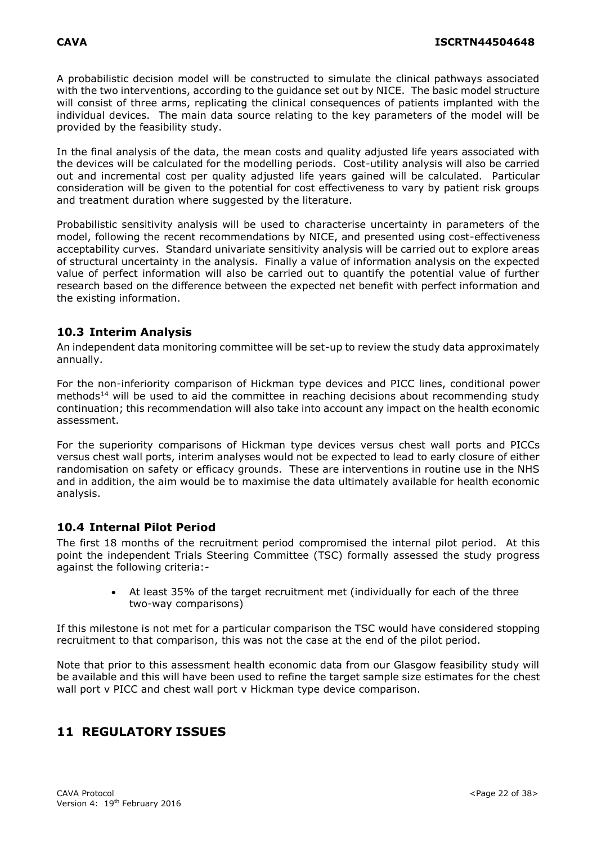A probabilistic decision model will be constructed to simulate the clinical pathways associated with the two interventions, according to the guidance set out by NICE. The basic model structure will consist of three arms, replicating the clinical consequences of patients implanted with the individual devices. The main data source relating to the key parameters of the model will be provided by the feasibility study.

In the final analysis of the data, the mean costs and quality adjusted life years associated with the devices will be calculated for the modelling periods. Cost-utility analysis will also be carried out and incremental cost per quality adjusted life years gained will be calculated. Particular consideration will be given to the potential for cost effectiveness to vary by patient risk groups and treatment duration where suggested by the literature.

Probabilistic sensitivity analysis will be used to characterise uncertainty in parameters of the model, following the recent recommendations by NICE, and presented using cost-effectiveness acceptability curves. Standard univariate sensitivity analysis will be carried out to explore areas of structural uncertainty in the analysis. Finally a value of information analysis on the expected value of perfect information will also be carried out to quantify the potential value of further research based on the difference between the expected net benefit with perfect information and the existing information.

# <span id="page-21-0"></span>**10.3 Interim Analysis**

An independent data monitoring committee will be set-up to review the study data approximately annually.

For the non-inferiority comparison of Hickman type devices and PICC lines, conditional power methods<sup>14</sup> will be used to aid the committee in reaching decisions about recommending study continuation; this recommendation will also take into account any impact on the health economic assessment.

For the superiority comparisons of Hickman type devices versus chest wall ports and PICCs versus chest wall ports, interim analyses would not be expected to lead to early closure of either randomisation on safety or efficacy grounds. These are interventions in routine use in the NHS and in addition, the aim would be to maximise the data ultimately available for health economic analysis.

# <span id="page-21-1"></span>**10.4 Internal Pilot Period**

The first 18 months of the recruitment period compromised the internal pilot period. At this point the independent Trials Steering Committee (TSC) formally assessed the study progress against the following criteria:-

> At least 35% of the target recruitment met (individually for each of the three two-way comparisons)

If this milestone is not met for a particular comparison the TSC would have considered stopping recruitment to that comparison, this was not the case at the end of the pilot period.

Note that prior to this assessment health economic data from our Glasgow feasibility study will be available and this will have been used to refine the target sample size estimates for the chest wall port v PICC and chest wall port v Hickman type device comparison.

# <span id="page-21-2"></span>**11 REGULATORY ISSUES**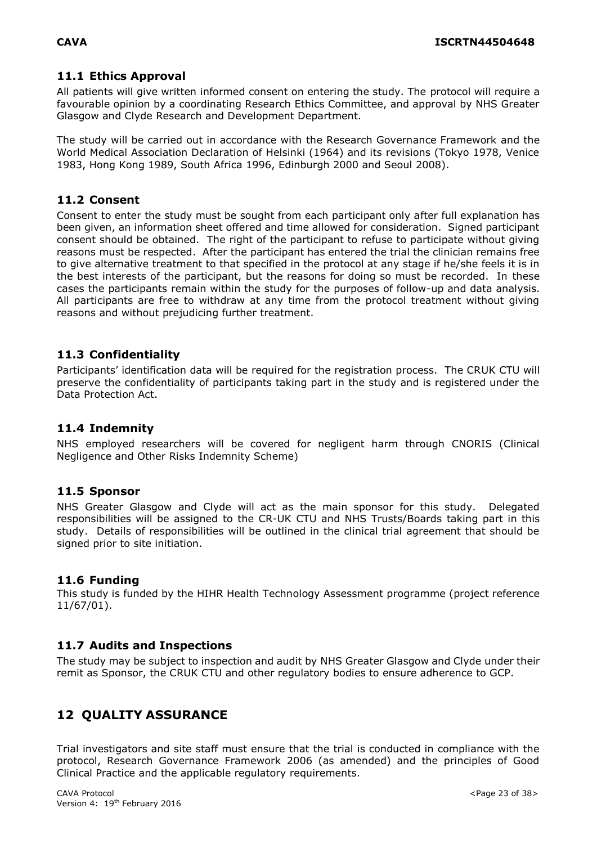# <span id="page-22-0"></span>**11.1 Ethics Approval**

All patients will give written informed consent on entering the study. The protocol will require a favourable opinion by a coordinating Research Ethics Committee, and approval by NHS Greater Glasgow and Clyde Research and Development Department.

The study will be carried out in accordance with the Research Governance Framework and the World Medical Association Declaration of Helsinki (1964) and its revisions (Tokyo 1978, Venice 1983, Hong Kong 1989, South Africa 1996, Edinburgh 2000 and Seoul 2008).

## <span id="page-22-1"></span>**11.2 Consent**

Consent to enter the study must be sought from each participant only after full explanation has been given, an information sheet offered and time allowed for consideration. Signed participant consent should be obtained. The right of the participant to refuse to participate without giving reasons must be respected. After the participant has entered the trial the clinician remains free to give alternative treatment to that specified in the protocol at any stage if he/she feels it is in the best interests of the participant, but the reasons for doing so must be recorded. In these cases the participants remain within the study for the purposes of follow-up and data analysis. All participants are free to withdraw at any time from the protocol treatment without giving reasons and without prejudicing further treatment.

# <span id="page-22-2"></span>**11.3 Confidentiality**

Participants' identification data will be required for the registration process. The CRUK CTU will preserve the confidentiality of participants taking part in the study and is registered under the Data Protection Act.

# <span id="page-22-3"></span>**11.4 Indemnity**

NHS employed researchers will be covered for negligent harm through CNORIS (Clinical Negligence and Other Risks Indemnity Scheme)

## <span id="page-22-4"></span>**11.5 Sponsor**

NHS Greater Glasgow and Clyde will act as the main sponsor for this study. Delegated responsibilities will be assigned to the CR-UK CTU and NHS Trusts/Boards taking part in this study. Details of responsibilities will be outlined in the clinical trial agreement that should be signed prior to site initiation.

## <span id="page-22-5"></span>**11.6 Funding**

<span id="page-22-6"></span>This study is funded by the HIHR Health Technology Assessment programme (project reference 11/67/01).

## <span id="page-22-7"></span>**11.7 Audits and Inspections**

The study may be subject to inspection and audit by NHS Greater Glasgow and Clyde under their remit as Sponsor, the CRUK CTU and other regulatory bodies to ensure adherence to GCP.

# <span id="page-22-8"></span>**12 QUALITY ASSURANCE**

Trial investigators and site staff must ensure that the trial is conducted in compliance with the protocol, Research Governance Framework 2006 (as amended) and the principles of Good Clinical Practice and the applicable regulatory requirements.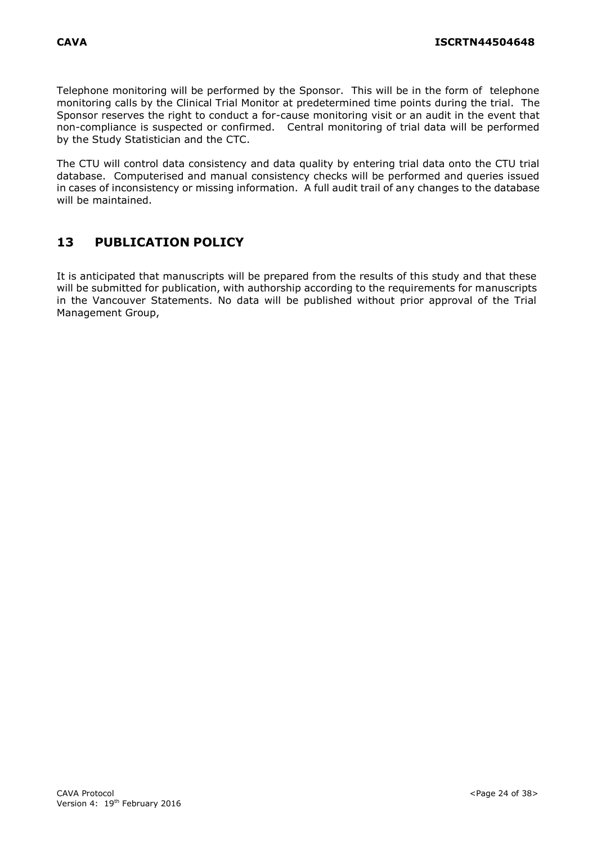Telephone monitoring will be performed by the Sponsor. This will be in the form of telephone monitoring calls by the Clinical Trial Monitor at predetermined time points during the trial. The Sponsor reserves the right to conduct a for-cause monitoring visit or an audit in the event that non-compliance is suspected or confirmed. Central monitoring of trial data will be performed by the Study Statistician and the CTC.

The CTU will control data consistency and data quality by entering trial data onto the CTU trial database. Computerised and manual consistency checks will be performed and queries issued in cases of inconsistency or missing information. A full audit trail of any changes to the database will be maintained.

# <span id="page-23-0"></span>**13 PUBLICATION POLICY**

It is anticipated that manuscripts will be prepared from the results of this study and that these will be submitted for publication, with authorship according to the requirements for manuscripts in the Vancouver Statements. No data will be published without prior approval of the Trial Management Group,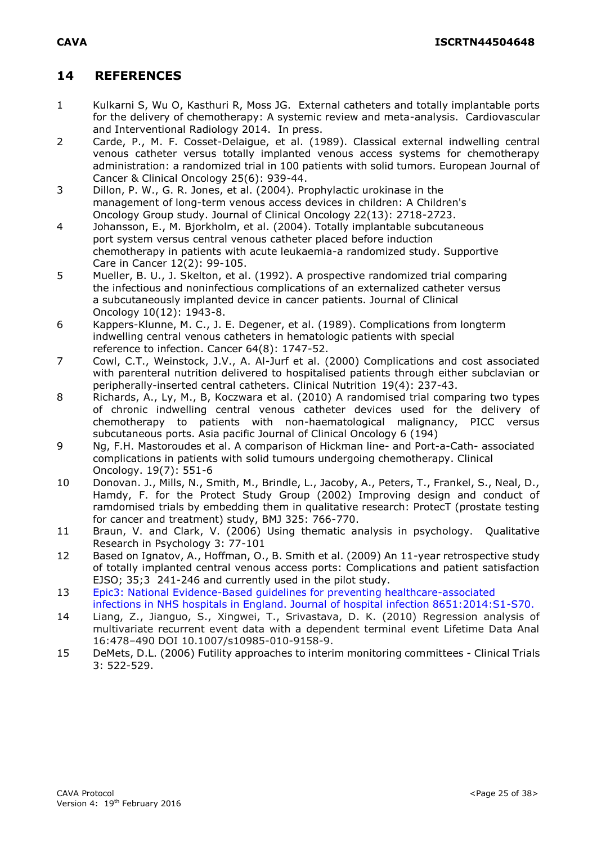# <span id="page-24-0"></span>**14 REFERENCES**

- 1 Kulkarni S, Wu O, Kasthuri R, Moss JG. External catheters and totally implantable ports for the delivery of chemotherapy: A systemic review and meta-analysis. Cardiovascular and Interventional Radiology 2014. In press.
- 2 Carde, P., M. F. Cosset-Delaigue, et al. (1989). Classical external indwelling central venous catheter versus totally implanted venous access systems for chemotherapy administration: a randomized trial in 100 patients with solid tumors. European Journal of Cancer & Clinical Oncology 25(6): 939-44.
- 3 Dillon, P. W., G. R. Jones, et al. (2004). Prophylactic urokinase in the management of long-term venous access devices in children: A Children's Oncology Group study. Journal of Clinical Oncology 22(13): 2718-2723.
- 4 Johansson, E., M. Bjorkholm, et al. (2004). Totally implantable subcutaneous port system versus central venous catheter placed before induction chemotherapy in patients with acute leukaemia-a randomized study. Supportive Care in Cancer 12(2): 99-105.
- 5 Mueller, B. U., J. Skelton, et al. (1992). A prospective randomized trial comparing the infectious and noninfectious complications of an externalized catheter versus a subcutaneously implanted device in cancer patients. Journal of Clinical Oncology 10(12): 1943-8.
- 6 Kappers-Klunne, M. C., J. E. Degener, et al. (1989). Complications from longterm indwelling central venous catheters in hematologic patients with special reference to infection. Cancer 64(8): 1747-52.
- 7 Cowl, C.T., Weinstock, J.V., A. Al-Jurf et al. (2000) Complications and cost associated with parenteral nutrition delivered to hospitalised patients through either subclavian or peripherally-inserted central catheters. Clinical Nutrition 19(4): 237-43.
- 8 Richards, A., Ly, M., B, Koczwara et al. (2010) A randomised trial comparing two types of chronic indwelling central venous catheter devices used for the delivery of chemotherapy to patients with non-haematological malignancy, PICC versus subcutaneous ports. Asia pacific Journal of Clinical Oncology 6 (194)
- 9 Ng, F.H. Mastoroudes et al. A comparison of Hickman line- and Port-a-Cath- associated complications in patients with solid tumours undergoing chemotherapy. Clinical Oncology. 19(7): 551-6
- 10 Donovan. J., Mills, N., Smith, M., Brindle, L., Jacoby, A., Peters, T., Frankel, S., Neal, D., Hamdy, F. for the Protect Study Group (2002) Improving design and conduct of ramdomised trials by embedding them in qualitative research: ProtecT (prostate testing for cancer and treatment) study, BMJ 325: 766-770.
- 11 Braun, V. and Clark, V. (2006) Using thematic analysis in psychology. Qualitative Research in Psychology 3: 77-101
- 12 Based on Ignatov, A., Hoffman, O., B. Smith et al. (2009) An 11-year retrospective study of totally implanted central venous access ports: Complications and patient satisfaction EJSO; 35;3 241-246 and currently used in the pilot study.
- 13 Epic3: National Evidence-Based guidelines for preventing healthcare-associated infections in NHS hospitals in England. Journal of hospital infection 8651:2014:S1-S70.
- 14 Liang, Z., Jianguo, S., Xingwei, T., Srivastava, D. K. (2010) Regression analysis of multivariate recurrent event data with a dependent terminal event Lifetime Data Anal 16:478–490 DOI 10.1007/s10985-010-9158-9.
- 15 DeMets, D.L. (2006) Futility approaches to interim monitoring committees Clinical Trials 3: 522-529.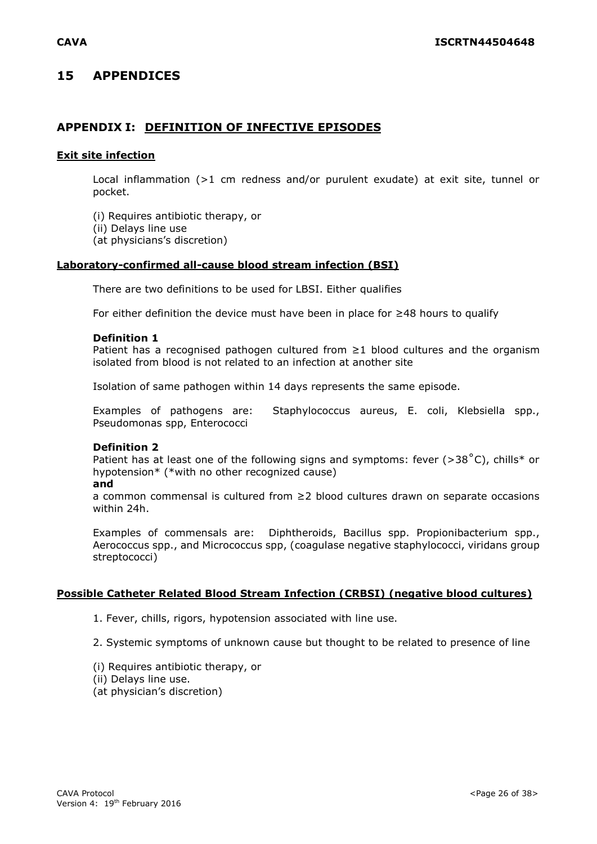# <span id="page-25-0"></span>**15 APPENDICES**

# **APPENDIX I: DEFINITION OF INFECTIVE EPISODES**

#### **Exit site infection**

Local inflammation (>1 cm redness and/or purulent exudate) at exit site, tunnel or pocket.

(i) Requires antibiotic therapy, or

(ii) Delays line use

(at physicians's discretion)

#### **Laboratory-confirmed all-cause blood stream infection (BSI)**

There are two definitions to be used for LBSI. Either qualifies

For either definition the device must have been in place for ≥48 hours to qualify

#### **Definition 1**

Patient has a recognised pathogen cultured from  $\geq 1$  blood cultures and the organism isolated from blood is not related to an infection at another site

Isolation of same pathogen within 14 days represents the same episode.

Examples of pathogens are: Staphylococcus aureus, E. coli, Klebsiella spp., Pseudomonas spp, Enterococci

#### **Definition 2**

Patient has at least one of the following signs and symptoms: fever ( $>38\degree$ C), chills\* or hypotension\* (\*with no other recognized cause)

#### **and**

a common commensal is cultured from ≥2 blood cultures drawn on separate occasions within 24h.

Examples of commensals are: Diphtheroids, Bacillus spp. Propionibacterium spp., Aerococcus spp., and Micrococcus spp, (coagulase negative staphylococci, viridans group streptococci)

#### **Possible Catheter Related Blood Stream Infection (CRBSI) (negative blood cultures)**

1. Fever, chills, rigors, hypotension associated with line use.

2. Systemic symptoms of unknown cause but thought to be related to presence of line

- (i) Requires antibiotic therapy, or
- (ii) Delays line use.
- (at physician's discretion)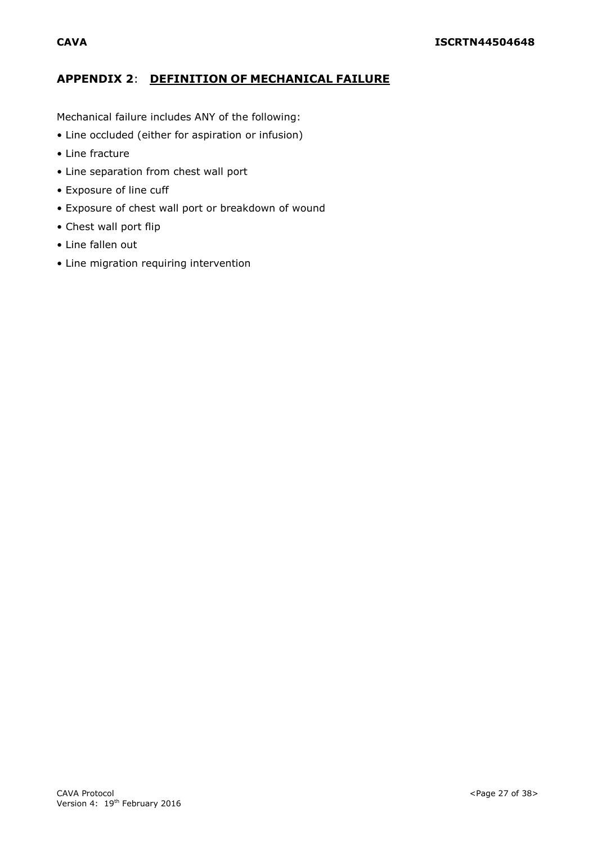# **APPENDIX 2**: **DEFINITION OF MECHANICAL FAILURE**

Mechanical failure includes ANY of the following:

- Line occluded (either for aspiration or infusion)
- Line fracture
- Line separation from chest wall port
- Exposure of line cuff
- Exposure of chest wall port or breakdown of wound
- Chest wall port flip
- Line fallen out
- Line migration requiring intervention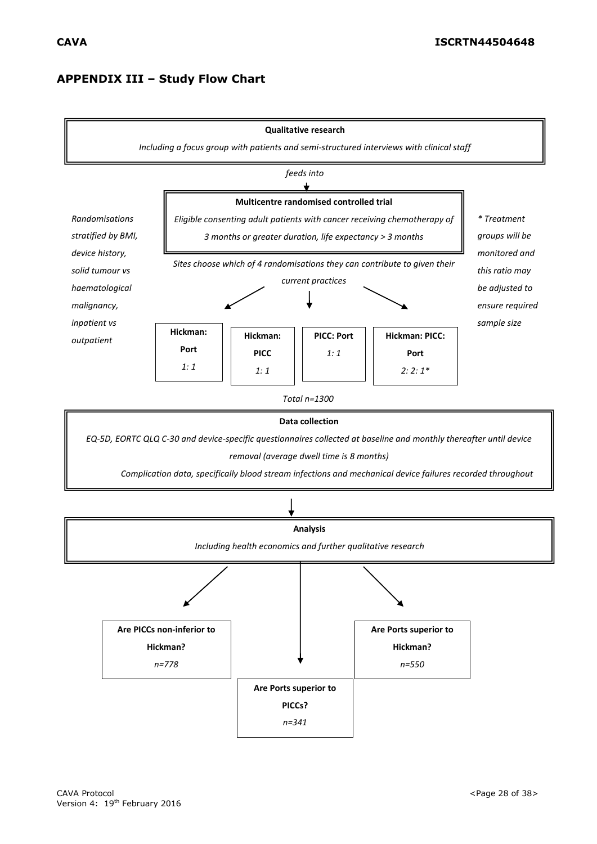# **APPENDIX III – Study Flow Chart**

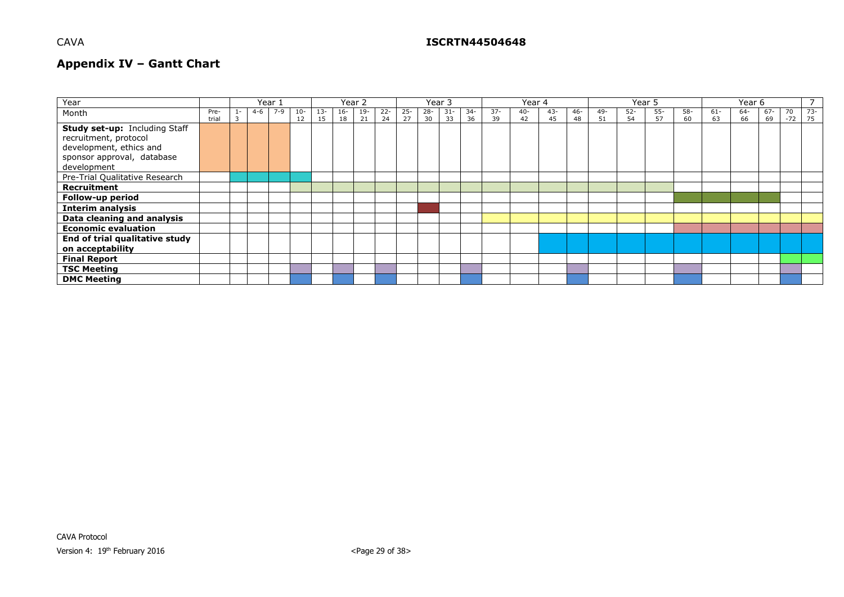## CAVA **ISCRTN44504648**

# **Appendix IV – Gantt Chart**

| Year                                                                                                                           |               | Year : |         |         |             |              |             |             | Year 2       |              |              | Year 3       |             |              | Year 4       |              |              | Year 5    |              |              |             | Year 6       |           |           |             |              |
|--------------------------------------------------------------------------------------------------------------------------------|---------------|--------|---------|---------|-------------|--------------|-------------|-------------|--------------|--------------|--------------|--------------|-------------|--------------|--------------|--------------|--------------|-----------|--------------|--------------|-------------|--------------|-----------|-----------|-------------|--------------|
| Month                                                                                                                          | Pre-<br>trial |        | $4 - 6$ | $7 - 9$ | $10-$<br>12 | $13 -$<br>15 | $16-$<br>18 | $19-$<br>21 | $22 -$<br>24 | $25 -$<br>27 | $28 -$<br>30 | $31 -$<br>33 | $34-$<br>36 | $37 -$<br>39 | $40 -$<br>42 | $43 -$<br>45 | $46 -$<br>48 | 49-<br>51 | $52 -$<br>54 | $55 -$<br>57 | $58-$<br>60 | $61 -$<br>63 | 64-<br>66 | 67-<br>69 | 70<br>$-72$ | $73-$<br>175 |
| Study set-up: Including Staff<br>recruitment, protocol<br>development, ethics and<br>sponsor approval, database<br>development |               |        |         |         |             |              |             |             |              |              |              |              |             |              |              |              |              |           |              |              |             |              |           |           |             |              |
| Pre-Trial Qualitative Research                                                                                                 |               |        |         |         |             |              |             |             |              |              |              |              |             |              |              |              |              |           |              |              |             |              |           |           |             |              |
| Recruitment                                                                                                                    |               |        |         |         |             |              |             |             |              |              |              |              |             |              |              |              |              |           |              |              |             |              |           |           |             |              |
| Follow-up period                                                                                                               |               |        |         |         |             |              |             |             |              |              |              |              |             |              |              |              |              |           |              |              |             |              |           |           |             |              |
| <b>Interim analysis</b>                                                                                                        |               |        |         |         |             |              |             |             |              |              |              |              |             |              |              |              |              |           |              |              |             |              |           |           |             |              |
| Data cleaning and analysis                                                                                                     |               |        |         |         |             |              |             |             |              |              |              |              |             |              |              |              |              |           |              |              |             |              |           |           |             |              |
| <b>Economic evaluation</b>                                                                                                     |               |        |         |         |             |              |             |             |              |              |              |              |             |              |              |              |              |           |              |              |             |              |           |           |             |              |
| End of trial qualitative study<br>on acceptability                                                                             |               |        |         |         |             |              |             |             |              |              |              |              |             |              |              |              |              |           |              |              |             |              |           |           |             |              |
| <b>Final Report</b>                                                                                                            |               |        |         |         |             |              |             |             |              |              |              |              |             |              |              |              |              |           |              |              |             |              |           |           |             |              |
| <b>TSC Meeting</b>                                                                                                             |               |        |         |         |             |              |             |             |              |              |              |              |             |              |              |              |              |           |              |              |             |              |           |           |             |              |
| <b>DMC Meeting</b>                                                                                                             |               |        |         |         |             |              |             |             |              |              |              |              |             |              |              |              |              |           |              |              |             |              |           |           |             |              |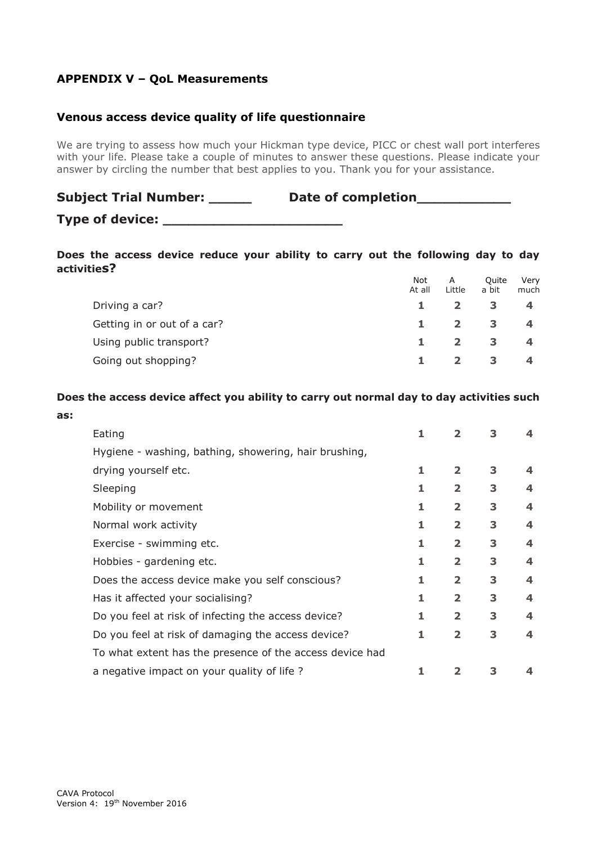# **APPENDIX V – QoL Measurements**

# **Venous access device quality of life questionnaire**

We are trying to assess how much your Hickman type device, PICC or chest wall port interferes with your life. Please take a couple of minutes to answer these questions. Please indicate your answer by circling the number that best applies to you. Thank you for your assistance.

| <b>Subject Trial Number:</b> | Date of completion |
|------------------------------|--------------------|
| Type of device:              |                    |

#### **Does the access device reduce your ability to carry out the following day to day activities?**

|                             | <b>Not</b><br>At all | A<br>Little  | Ouite<br>a bit | Very<br>much |
|-----------------------------|----------------------|--------------|----------------|--------------|
| Driving a car?              |                      |              |                |              |
| Getting in or out of a car? |                      | $\mathbf{2}$ | 3              | 4            |
| Using public transport?     |                      | $\mathbf{2}$ | 3              | 4            |
| Going out shopping?         |                      |              | 3              | 4            |

### **Does the access device affect you ability to carry out normal day to day activities such**

| Eating                                                   | 1 | 2                       | З |                         |
|----------------------------------------------------------|---|-------------------------|---|-------------------------|
| Hygiene - washing, bathing, showering, hair brushing,    |   |                         |   |                         |
| drying yourself etc.                                     | 1 | $\overline{2}$          | 3 | 4                       |
| Sleeping                                                 |   | $\overline{\mathbf{2}}$ | 3 | 4                       |
| Mobility or movement                                     | 1 | $\overline{\mathbf{2}}$ | 3 | $\boldsymbol{4}$        |
| Normal work activity                                     | 1 | $\overline{\mathbf{2}}$ | 3 | 4                       |
| Exercise - swimming etc.                                 |   | $\overline{2}$          | 3 | 4                       |
| Hobbies - gardening etc.                                 |   | $\overline{\mathbf{2}}$ | 3 | $\overline{\mathbf{4}}$ |
| Does the access device make you self conscious?          | 1 | $\overline{2}$          | 3 | 4                       |
| Has it affected your socialising?                        | 1 | $\overline{\mathbf{2}}$ | 3 | $\boldsymbol{4}$        |
| Do you feel at risk of infecting the access device?      | 1 | $\overline{\mathbf{2}}$ | 3 | 4                       |
| Do you feel at risk of damaging the access device?       | 1 | $\overline{2}$          | 3 | 4                       |
| To what extent has the presence of the access device had |   |                         |   |                         |
| a negative impact on your quality of life?               |   |                         |   |                         |

**as:**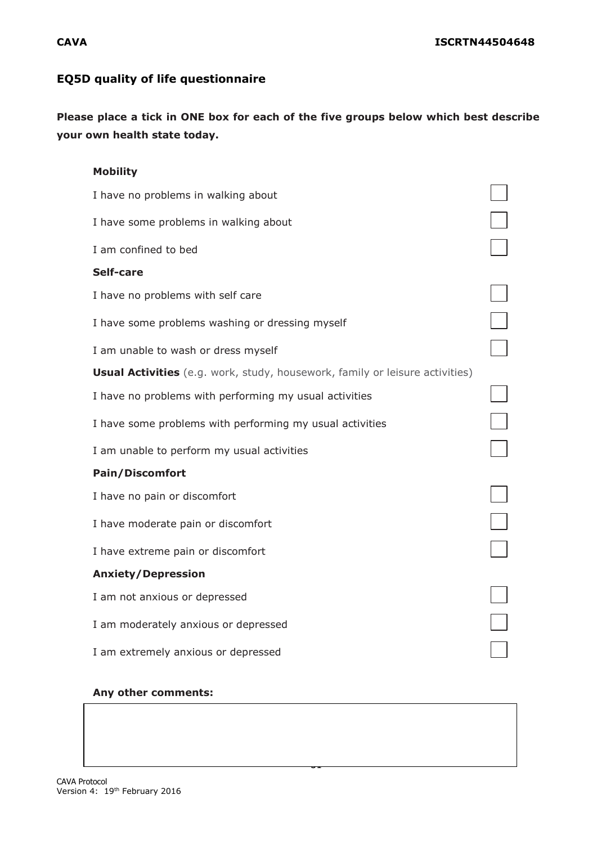# **EQ5D quality of life questionnaire**

**Please place a tick in ONE box for each of the five groups below which best describe your own health state today.**

| <b>Mobility</b>                                                                     |  |
|-------------------------------------------------------------------------------------|--|
| I have no problems in walking about                                                 |  |
| I have some problems in walking about                                               |  |
| I am confined to bed                                                                |  |
| Self-care                                                                           |  |
| I have no problems with self care                                                   |  |
| I have some problems washing or dressing myself                                     |  |
| I am unable to wash or dress myself                                                 |  |
| <b>Usual Activities</b> (e.g. work, study, housework, family or leisure activities) |  |
| I have no problems with performing my usual activities                              |  |
| I have some problems with performing my usual activities                            |  |
| I am unable to perform my usual activities                                          |  |
| <b>Pain/Discomfort</b>                                                              |  |
| I have no pain or discomfort                                                        |  |
| I have moderate pain or discomfort                                                  |  |
| I have extreme pain or discomfort                                                   |  |
| <b>Anxiety/Depression</b>                                                           |  |
| I am not anxious or depressed                                                       |  |
| I am moderately anxious or depressed                                                |  |
| I am extremely anxious or depressed                                                 |  |
|                                                                                     |  |

-

#### **Any other comments:**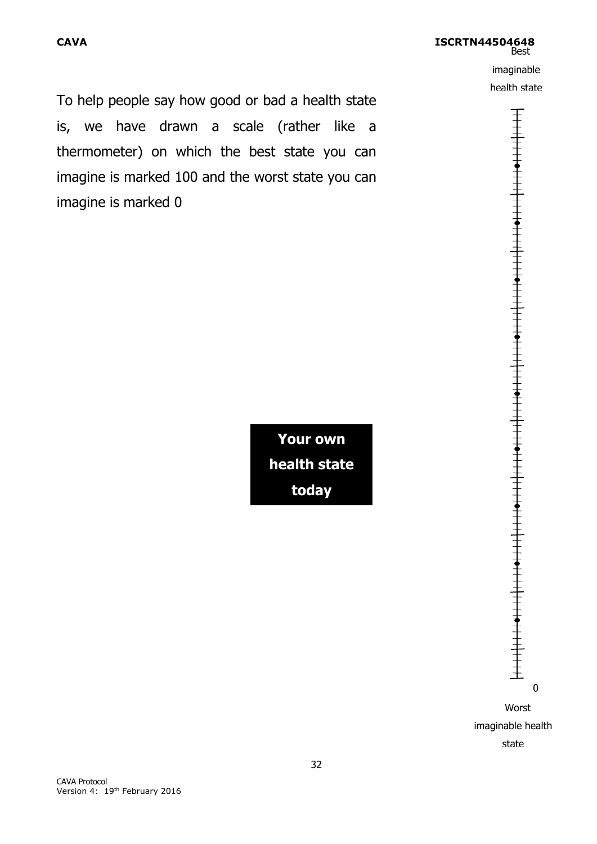**CAVA ISCRTN44504648 Best** imaginable health state

To help people say how good or bad a health state is, we have drawn a scale (rather like a thermometer) on which the best state you can imagine is marked 100 and the worst state you can imagine is marked 0

> **Your own health state today**



 Worst imaginable health state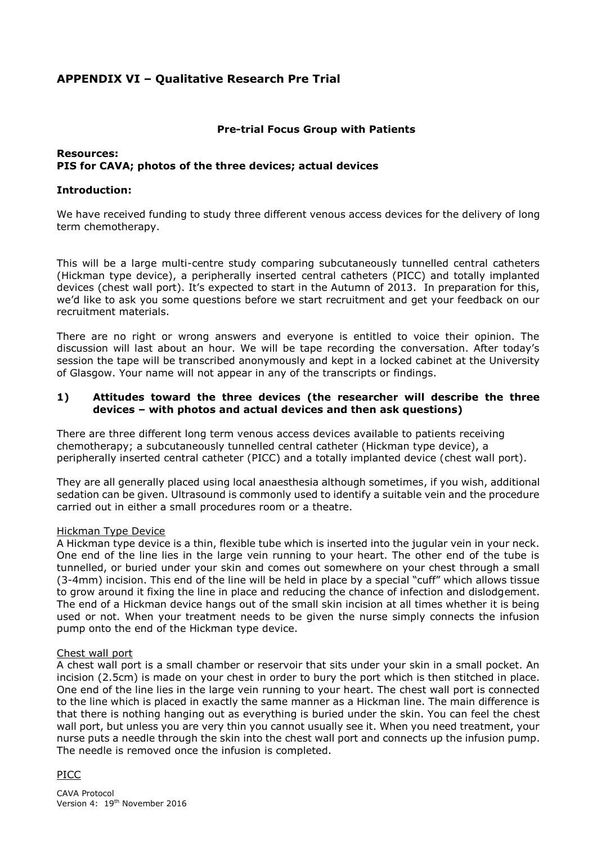# **APPENDIX VI – Qualitative Research Pre Trial**

#### **Pre-trial Focus Group with Patients**

### **Resources: PIS for CAVA; photos of the three devices; actual devices**

#### **Introduction:**

We have received funding to study three different venous access devices for the delivery of long term chemotherapy.

This will be a large multi-centre study comparing subcutaneously tunnelled central catheters (Hickman type device), a peripherally inserted central catheters (PICC) and totally implanted devices (chest wall port). It's expected to start in the Autumn of 2013. In preparation for this, we'd like to ask you some questions before we start recruitment and get your feedback on our recruitment materials.

There are no right or wrong answers and everyone is entitled to voice their opinion. The discussion will last about an hour. We will be tape recording the conversation. After today's session the tape will be transcribed anonymously and kept in a locked cabinet at the University of Glasgow. Your name will not appear in any of the transcripts or findings.

### **1) Attitudes toward the three devices (the researcher will describe the three devices – with photos and actual devices and then ask questions)**

There are three different long term venous access devices available to patients receiving chemotherapy; a subcutaneously tunnelled central catheter (Hickman type device), a peripherally inserted central catheter (PICC) and a totally implanted device (chest wall port).

They are all generally placed using local anaesthesia although sometimes, if you wish, additional sedation can be given. Ultrasound is commonly used to identify a suitable vein and the procedure carried out in either a small procedures room or a theatre.

#### Hickman Type Device

A Hickman type device is a thin, flexible tube which is inserted into the jugular vein in your neck. One end of the line lies in the large vein running to your heart. The other end of the tube is tunnelled, or buried under your skin and comes out somewhere on your chest through a small (3-4mm) incision. This end of the line will be held in place by a special "cuff" which allows tissue to grow around it fixing the line in place and reducing the chance of infection and dislodgement. The end of a Hickman device hangs out of the small skin incision at all times whether it is being used or not. When your treatment needs to be given the nurse simply connects the infusion pump onto the end of the Hickman type device.

#### Chest wall port

A chest wall port is a small chamber or reservoir that sits under your skin in a small pocket. An incision (2.5cm) is made on your chest in order to bury the port which is then stitched in place. One end of the line lies in the large vein running to your heart. The chest wall port is connected to the line which is placed in exactly the same manner as a Hickman line. The main difference is that there is nothing hanging out as everything is buried under the skin. You can feel the chest wall port, but unless you are very thin you cannot usually see it. When you need treatment, your nurse puts a needle through the skin into the chest wall port and connects up the infusion pump. The needle is removed once the infusion is completed.

## PICC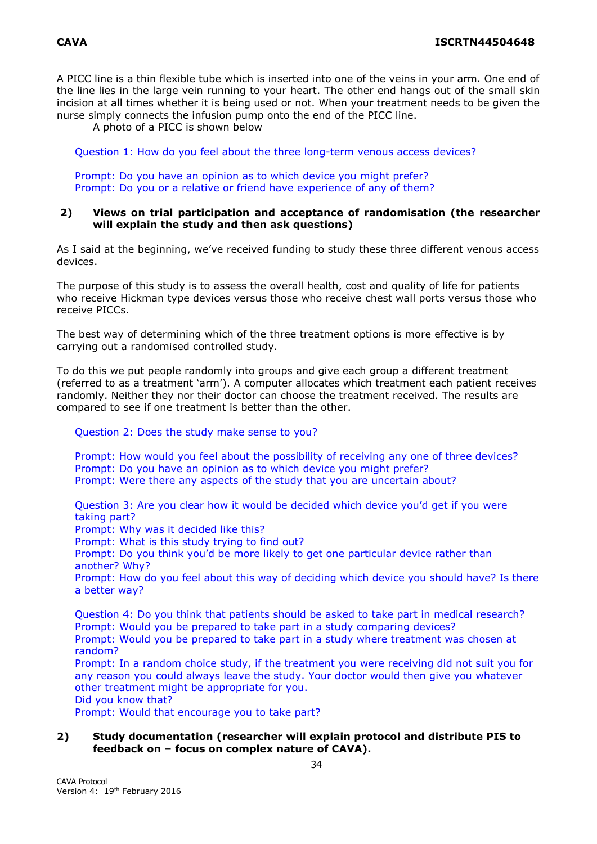A PICC line is a thin flexible tube which is inserted into one of the veins in your arm. One end of the line lies in the large vein running to your heart. The other end hangs out of the small skin incision at all times whether it is being used or not. When your treatment needs to be given the nurse simply connects the infusion pump onto the end of the PICC line.

A photo of a PICC is shown below

Question 1: How do you feel about the three long-term venous access devices?

Prompt: Do you have an opinion as to which device you might prefer? Prompt: Do you or a relative or friend have experience of any of them?

#### **2) Views on trial participation and acceptance of randomisation (the researcher will explain the study and then ask questions)**

As I said at the beginning, we've received funding to study these three different venous access devices.

The purpose of this study is to assess the overall health, cost and quality of life for patients who receive Hickman type devices versus those who receive chest wall ports versus those who receive PICCs.

The best way of determining which of the three treatment options is more effective is by carrying out a randomised controlled study.

To do this we put people randomly into groups and give each group a different treatment (referred to as a treatment 'arm'). A computer allocates which treatment each patient receives randomly. Neither they nor their doctor can choose the treatment received. The results are compared to see if one treatment is better than the other.

Question 2: Does the study make sense to you?

Prompt: How would you feel about the possibility of receiving any one of three devices? Prompt: Do you have an opinion as to which device you might prefer? Prompt: Were there any aspects of the study that you are uncertain about?

Question 3: Are you clear how it would be decided which device you'd get if you were taking part?

Prompt: Why was it decided like this?

Prompt: What is this study trying to find out?

Prompt: Do you think you'd be more likely to get one particular device rather than another? Why?

Prompt: How do you feel about this way of deciding which device you should have? Is there a better way?

Question 4: Do you think that patients should be asked to take part in medical research? Prompt: Would you be prepared to take part in a study comparing devices? Prompt: Would you be prepared to take part in a study where treatment was chosen at random?

Prompt: In a random choice study, if the treatment you were receiving did not suit you for any reason you could always leave the study. Your doctor would then give you whatever other treatment might be appropriate for you.

Did you know that?

Prompt: Would that encourage you to take part?

#### **2) Study documentation (researcher will explain protocol and distribute PIS to feedback on – focus on complex nature of CAVA).**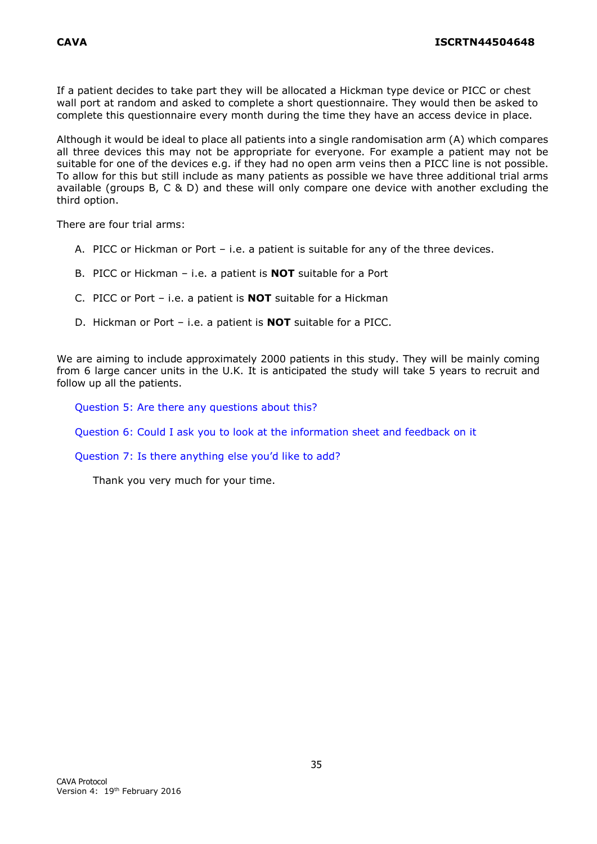If a patient decides to take part they will be allocated a Hickman type device or PICC or chest wall port at random and asked to complete a short questionnaire. They would then be asked to complete this questionnaire every month during the time they have an access device in place.

Although it would be ideal to place all patients into a single randomisation arm (A) which compares all three devices this may not be appropriate for everyone. For example a patient may not be suitable for one of the devices e.g. if they had no open arm veins then a PICC line is not possible. To allow for this but still include as many patients as possible we have three additional trial arms available (groups B, C & D) and these will only compare one device with another excluding the third option.

There are four trial arms:

- A. PICC or Hickman or Port i.e. a patient is suitable for any of the three devices.
- B. PICC or Hickman i.e. a patient is **NOT** suitable for a Port
- C. PICC or Port i.e. a patient is **NOT** suitable for a Hickman
- D. Hickman or Port i.e. a patient is **NOT** suitable for a PICC.

We are aiming to include approximately 2000 patients in this study. They will be mainly coming from 6 large cancer units in the U.K. It is anticipated the study will take 5 years to recruit and follow up all the patients.

Question 5: Are there any questions about this?

Question 6: Could I ask you to look at the information sheet and feedback on it

Question 7: Is there anything else you'd like to add?

Thank you very much for your time.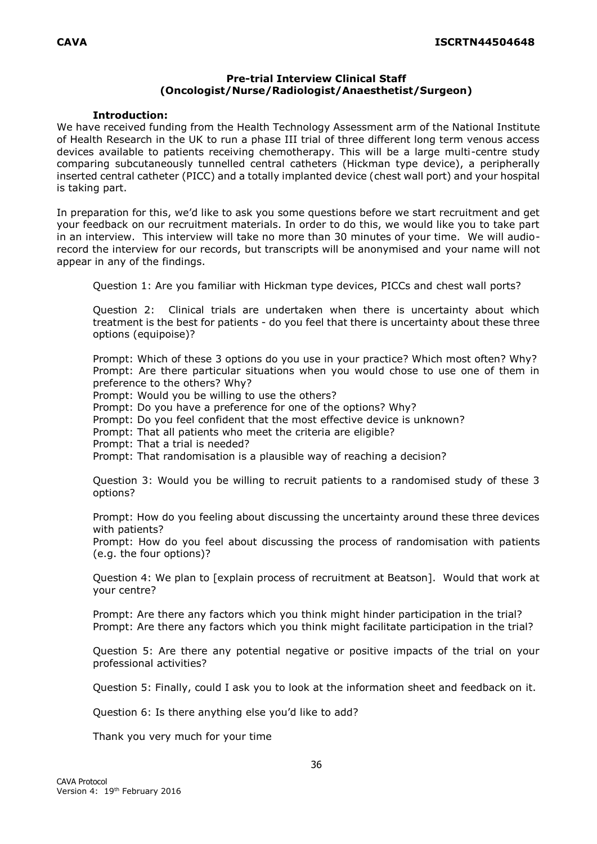### **Pre-trial Interview Clinical Staff (Oncologist/Nurse/Radiologist/Anaesthetist/Surgeon)**

#### **Introduction:**

We have received funding from the Health Technology Assessment arm of the National Institute of Health Research in the UK to run a phase III trial of three different long term venous access devices available to patients receiving chemotherapy. This will be a large multi-centre study comparing subcutaneously tunnelled central catheters (Hickman type device), a peripherally inserted central catheter (PICC) and a totally implanted device (chest wall port) and your hospital is taking part.

In preparation for this, we'd like to ask you some questions before we start recruitment and get your feedback on our recruitment materials. In order to do this, we would like you to take part in an interview. This interview will take no more than 30 minutes of your time. We will audiorecord the interview for our records, but transcripts will be anonymised and your name will not appear in any of the findings.

Question 1: Are you familiar with Hickman type devices, PICCs and chest wall ports?

Question 2: Clinical trials are undertaken when there is uncertainty about which treatment is the best for patients - do you feel that there is uncertainty about these three options (equipoise)?

Prompt: Which of these 3 options do you use in your practice? Which most often? Why? Prompt: Are there particular situations when you would chose to use one of them in preference to the others? Why?

Prompt: Would you be willing to use the others?

Prompt: Do you have a preference for one of the options? Why?

Prompt: Do you feel confident that the most effective device is unknown?

Prompt: That all patients who meet the criteria are eligible?

Prompt: That a trial is needed?

Prompt: That randomisation is a plausible way of reaching a decision?

Question 3: Would you be willing to recruit patients to a randomised study of these 3 options?

Prompt: How do you feeling about discussing the uncertainty around these three devices with patients?

Prompt: How do you feel about discussing the process of randomisation with patients (e.g. the four options)?

Question 4: We plan to [explain process of recruitment at Beatson]. Would that work at your centre?

Prompt: Are there any factors which you think might hinder participation in the trial? Prompt: Are there any factors which you think might facilitate participation in the trial?

Question 5: Are there any potential negative or positive impacts of the trial on your professional activities?

Question 5: Finally, could I ask you to look at the information sheet and feedback on it.

Question 6: Is there anything else you'd like to add?

Thank you very much for your time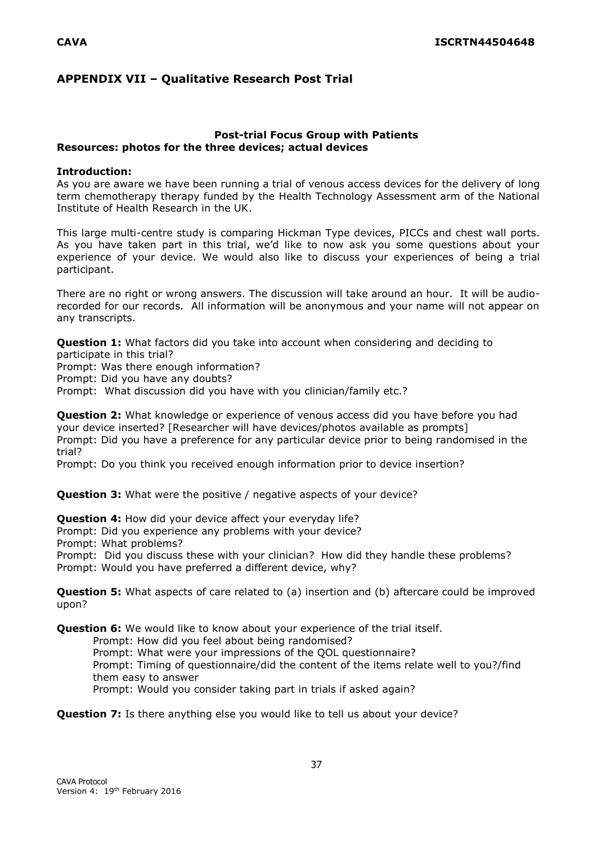# **APPENDIX VII – Qualitative Research Post Trial**

#### **Post-trial Focus Group with Patients Resources: photos for the three devices; actual devices**

#### **Introduction:**

As you are aware we have been running a trial of venous access devices for the delivery of long term chemotherapy therapy funded by the Health Technology Assessment arm of the National Institute of Health Research in the UK.

This large multi-centre study is comparing Hickman Type devices, PICCs and chest wall ports. As you have taken part in this trial, we'd like to now ask you some questions about your experience of your device. We would also like to discuss your experiences of being a trial participant.

There are no right or wrong answers. The discussion will take around an hour. It will be audiorecorded for our records. All information will be anonymous and your name will not appear on any transcripts.

**Question 1:** What factors did you take into account when considering and deciding to participate in this trial?

Prompt: Was there enough information?

Prompt: Did you have any doubts?

Prompt: What discussion did you have with you clinician/family etc.?

**Question 2:** What knowledge or experience of venous access did you have before you had your device inserted? [Researcher will have devices/photos available as prompts] Prompt: Did you have a preference for any particular device prior to being randomised in the trial?

Prompt: Do you think you received enough information prior to device insertion?

**Question 3:** What were the positive / negative aspects of your device?

**Question 4:** How did your device affect your everyday life?

Prompt: Did you experience any problems with your device?

Prompt: What problems?

Prompt: Did you discuss these with your clinician? How did they handle these problems? Prompt: Would you have preferred a different device, why?

**Question 5:** What aspects of care related to (a) insertion and (b) aftercare could be improved upon?

**Question 6:** We would like to know about your experience of the trial itself.

Prompt: How did you feel about being randomised?

Prompt: What were your impressions of the QOL questionnaire? Prompt: Timing of questionnaire/did the content of the items relate well to you?/find them easy to answer

Prompt: Would you consider taking part in trials if asked again?

**Question 7:** Is there anything else you would like to tell us about your device?